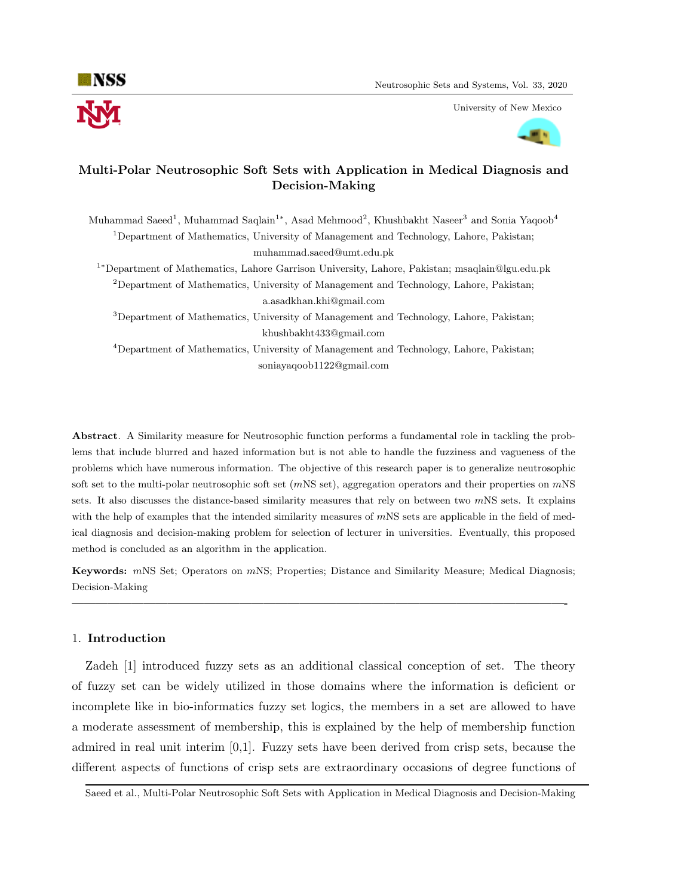

University of New Mexico



# Multi-Polar Neutrosophic Soft Sets with Application in Medical Diagnosis and Decision-Making

Muhammad Saeed<sup>1</sup>, Muhammad Saqlain<sup>1\*</sup>, Asad Mehmood<sup>2</sup>, Khushbakht Naseer<sup>3</sup> and Sonia Yaqoob<sup>4</sup> <sup>1</sup>Department of Mathematics, University of Management and Technology, Lahore, Pakistan; muhammad.saeed@umt.edu.pk

<sup>1</sup><sup>∗</sup>Department of Mathematics, Lahore Garrison University, Lahore, Pakistan; msaqlain@lgu.edu.pk  $2$ Department of Mathematics, University of Management and Technology, Lahore, Pakistan; a.asadkhan.khi@gmail.com

<sup>3</sup>Department of Mathematics, University of Management and Technology, Lahore, Pakistan; khushbakht433@gmail.com

<sup>4</sup>Department of Mathematics, University of Management and Technology, Lahore, Pakistan; soniayaqoob1122@gmail.com

Abstract. A Similarity measure for Neutrosophic function performs a fundamental role in tackling the problems that include blurred and hazed information but is not able to handle the fuzziness and vagueness of the problems which have numerous information. The objective of this research paper is to generalize neutrosophic soft set to the multi-polar neutrosophic soft set  $(mNS set)$ , aggregation operators and their properties on  $mNS$ sets. It also discusses the distance-based similarity measures that rely on between two  $mNS$  sets. It explains with the help of examples that the intended similarity measures of  $mNS$  sets are applicable in the field of medical diagnosis and decision-making problem for selection of lecturer in universities. Eventually, this proposed method is concluded as an algorithm in the application.

Keywords: mNS Set; Operators on mNS; Properties; Distance and Similarity Measure; Medical Diagnosis; Decision-Making

—————————————————————————————————————————-

## 1. Introduction

Zadeh [1] introduced fuzzy sets as an additional classical conception of set. The theory of fuzzy set can be widely utilized in those domains where the information is deficient or incomplete like in bio-informatics fuzzy set logics, the members in a set are allowed to have a moderate assessment of membership, this is explained by the help of membership function admired in real unit interim  $[0,1]$ . Fuzzy sets have been derived from crisp sets, because the different aspects of functions of crisp sets are extraordinary occasions of degree functions of

Saeed et al., Multi-Polar Neutrosophic Soft Sets with Application in Medical Diagnosis and Decision-Making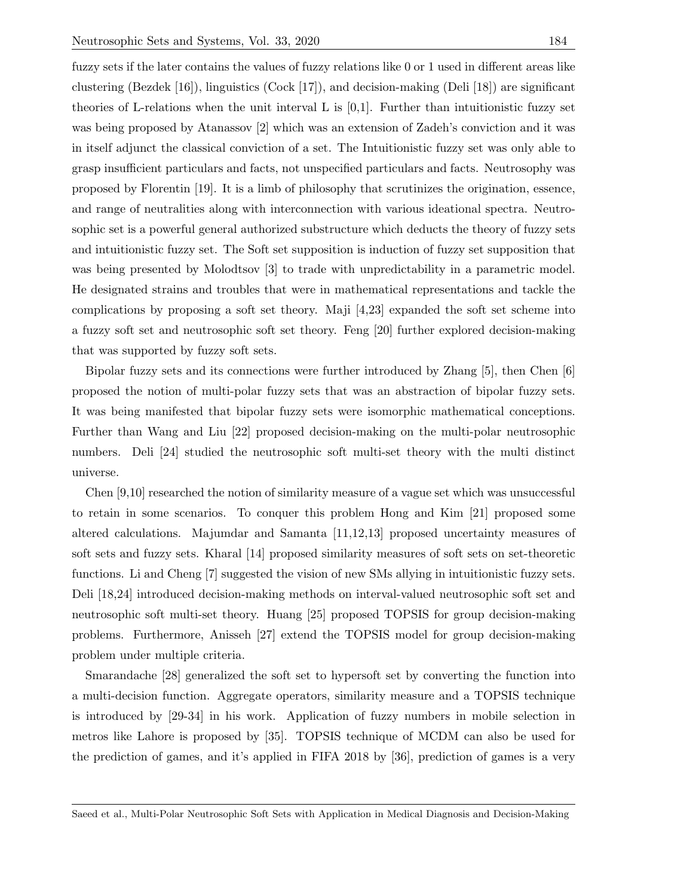fuzzy sets if the later contains the values of fuzzy relations like 0 or 1 used in different areas like clustering (Bezdek [16]), linguistics (Cock [17]), and decision-making (Deli [18]) are significant theories of L-relations when the unit interval L is [0,1]. Further than intuitionistic fuzzy set was being proposed by Atanassov [2] which was an extension of Zadeh's conviction and it was in itself adjunct the classical conviction of a set. The Intuitionistic fuzzy set was only able to grasp insufficient particulars and facts, not unspecified particulars and facts. Neutrosophy was proposed by Florentin [19]. It is a limb of philosophy that scrutinizes the origination, essence, and range of neutralities along with interconnection with various ideational spectra. Neutrosophic set is a powerful general authorized substructure which deducts the theory of fuzzy sets and intuitionistic fuzzy set. The Soft set supposition is induction of fuzzy set supposition that was being presented by Molodtsov [3] to trade with unpredictability in a parametric model. He designated strains and troubles that were in mathematical representations and tackle the complications by proposing a soft set theory. Maji [4,23] expanded the soft set scheme into a fuzzy soft set and neutrosophic soft set theory. Feng [20] further explored decision-making that was supported by fuzzy soft sets.

Bipolar fuzzy sets and its connections were further introduced by Zhang [5], then Chen [6] proposed the notion of multi-polar fuzzy sets that was an abstraction of bipolar fuzzy sets. It was being manifested that bipolar fuzzy sets were isomorphic mathematical conceptions. Further than Wang and Liu [22] proposed decision-making on the multi-polar neutrosophic numbers. Deli [24] studied the neutrosophic soft multi-set theory with the multi distinct universe.

Chen [9,10] researched the notion of similarity measure of a vague set which was unsuccessful to retain in some scenarios. To conquer this problem Hong and Kim [21] proposed some altered calculations. Majumdar and Samanta [11,12,13] proposed uncertainty measures of soft sets and fuzzy sets. Kharal [14] proposed similarity measures of soft sets on set-theoretic functions. Li and Cheng [7] suggested the vision of new SMs allying in intuitionistic fuzzy sets. Deli [18,24] introduced decision-making methods on interval-valued neutrosophic soft set and neutrosophic soft multi-set theory. Huang [25] proposed TOPSIS for group decision-making problems. Furthermore, Anisseh [27] extend the TOPSIS model for group decision-making problem under multiple criteria.

Smarandache [28] generalized the soft set to hypersoft set by converting the function into a multi-decision function. Aggregate operators, similarity measure and a TOPSIS technique is introduced by [29-34] in his work. Application of fuzzy numbers in mobile selection in metros like Lahore is proposed by [35]. TOPSIS technique of MCDM can also be used for the prediction of games, and it's applied in FIFA 2018 by [36], prediction of games is a very

Saeed et al., Multi-Polar Neutrosophic Soft Sets with Application in Medical Diagnosis and Decision-Making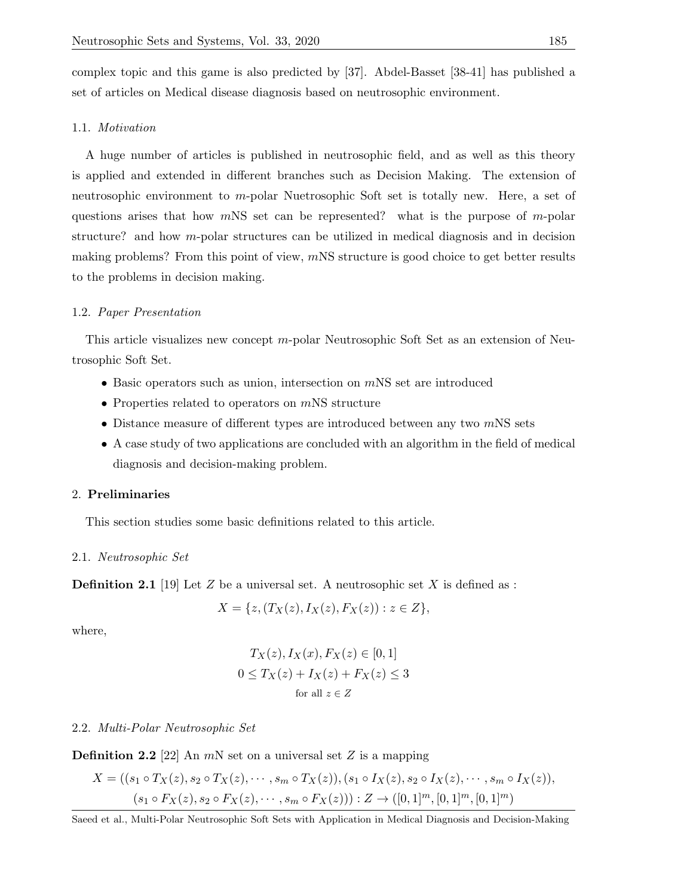complex topic and this game is also predicted by [37]. Abdel-Basset [38-41] has published a set of articles on Medical disease diagnosis based on neutrosophic environment.

## 1.1. Motivation

A huge number of articles is published in neutrosophic field, and as well as this theory is applied and extended in different branches such as Decision Making. The extension of neutrosophic environment to m-polar Nuetrosophic Soft set is totally new. Here, a set of questions arises that how  $mNS$  set can be represented? what is the purpose of m-polar structure? and how  $m$ -polar structures can be utilized in medical diagnosis and in decision making problems? From this point of view,  $m$ NS structure is good choice to get better results to the problems in decision making.

# 1.2. Paper Presentation

This article visualizes new concept m-polar Neutrosophic Soft Set as an extension of Neutrosophic Soft Set.

- Basic operators such as union, intersection on  $mNS$  set are introduced
- Properties related to operators on  $m$ NS structure
- Distance measure of different types are introduced between any two  $m$ NS sets
- A case study of two applications are concluded with an algorithm in the field of medical diagnosis and decision-making problem.

## 2. Preliminaries

This section studies some basic definitions related to this article.

### 2.1. Neutrosophic Set

**Definition 2.1** [19] Let Z be a universal set. A neutrosophic set X is defined as :

$$
X = \{ z, (T_X(z), I_X(z), F_X(z)) : z \in Z \},\
$$

where,

$$
T_X(z), I_X(x), F_X(z) \in [0, 1]
$$
  
 
$$
0 \le T_X(z) + I_X(z) + F_X(z) \le 3
$$
  
for all  $z \in Z$ 

### 2.2. Multi-Polar Neutrosophic Set

**Definition 2.2** [22] An  $mN$  set on a universal set Z is a mapping

$$
X = ((s_1 \circ T_X(z), s_2 \circ T_X(z), \cdots, s_m \circ T_X(z)), (s_1 \circ I_X(z), s_2 \circ I_X(z), \cdots, s_m \circ I_X(z)),
$$
  

$$
(s_1 \circ F_X(z), s_2 \circ F_X(z), \cdots, s_m \circ F_X(z))) : Z \to ([0,1]^m, [0,1]^m, [0,1]^m)
$$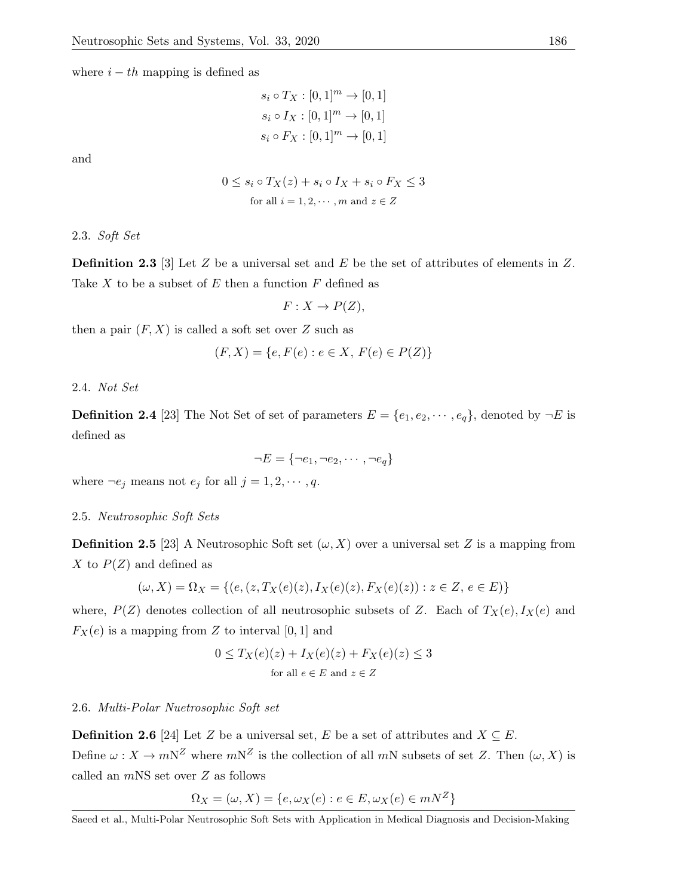where  $i - th$  mapping is defined as

$$
s_i \circ T_X : [0,1]^m \to [0,1]
$$
  

$$
s_i \circ I_X : [0,1]^m \to [0,1]
$$
  

$$
s_i \circ F_X : [0,1]^m \to [0,1]
$$

and

$$
0 \le s_i \circ T_X(z) + s_i \circ I_X + s_i \circ F_X \le 3
$$
  
for all  $i = 1, 2, \dots, m$  and  $z \in Z$ 

2.3. Soft Set

**Definition 2.3** [3] Let  $Z$  be a universal set and  $E$  be the set of attributes of elements in  $Z$ . Take X to be a subset of E then a function  $F$  defined as

$$
F: X \to P(Z),
$$

then a pair  $(F, X)$  is called a soft set over Z such as

$$
(F, X) = \{e, F(e) : e \in X, F(e) \in P(Z)\}
$$

2.4. Not Set

**Definition 2.4** [23] The Not Set of set of parameters  $E = \{e_1, e_2, \dots, e_q\}$ , denoted by  $\neg E$  is defined as

$$
\neg E = \{\neg e_1, \neg e_2, \cdots, \neg e_q\}
$$

where  $\neg e_j$  means not  $e_j$  for all  $j = 1, 2, \dots, q$ .

## 2.5. Neutrosophic Soft Sets

**Definition 2.5** [23] A Neutrosophic Soft set  $(\omega, X)$  over a universal set Z is a mapping from X to  $P(Z)$  and defined as

$$
(\omega, X) = \Omega_X = \{ (e, (z, T_X(e)(z), I_X(e)(z), F_X(e)(z)) : z \in Z, e \in E) \}
$$

where,  $P(Z)$  denotes collection of all neutrosophic subsets of Z. Each of  $T_X(e), I_X(e)$  and  $F_X(e)$  is a mapping from Z to interval [0, 1] and

$$
0 \le T_X(e)(z) + I_X(e)(z) + F_X(e)(z) \le 3
$$
  
for all  $e \in E$  and  $z \in Z$ 

## 2.6. Multi-Polar Nuetrosophic Soft set

**Definition 2.6** [24] Let Z be a universal set, E be a set of attributes and  $X \subseteq E$ . Define  $\omega : X \to mN^Z$  where  $mN^Z$  is the collection of all  $mN$  subsets of set Z. Then  $(\omega, X)$  is called an  $m$ NS set over  $Z$  as follows

$$
\Omega_X = (\omega, X) = \{e, \omega_X(e) : e \in E, \omega_X(e) \in mN^Z\}
$$

Saeed et al., Multi-Polar Neutrosophic Soft Sets with Application in Medical Diagnosis and Decision-Making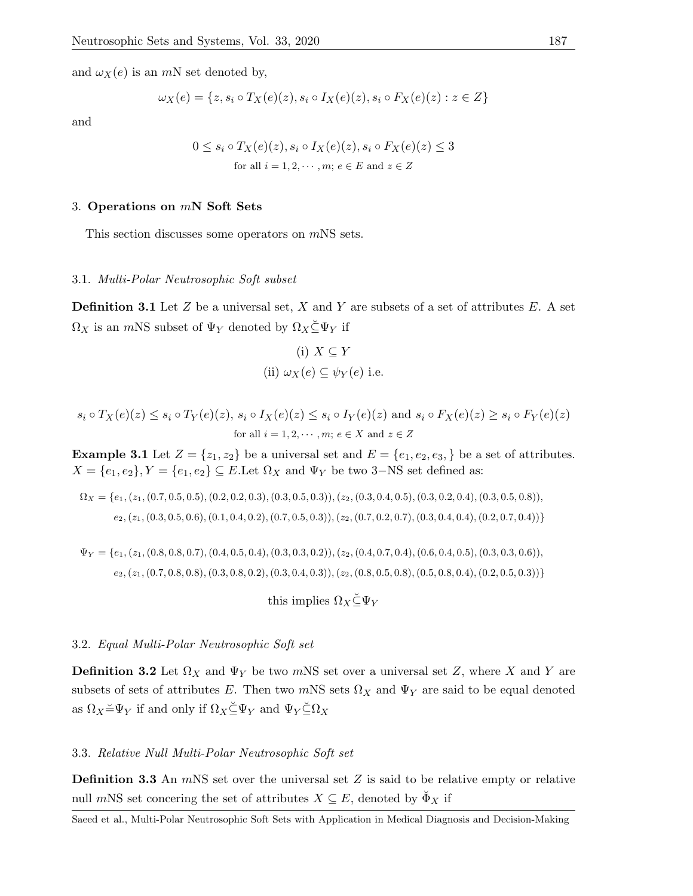and  $\omega_X(e)$  is an mN set denoted by,

$$
\omega_X(e) = \{z, s_i \circ T_X(e)(z), s_i \circ I_X(e)(z), s_i \circ F_X(e)(z) : z \in Z\}
$$

and

$$
0 \le s_i \circ T_X(e)(z), s_i \circ I_X(e)(z), s_i \circ F_X(e)(z) \le 3
$$
  
for all  $i = 1, 2, \dots, m; e \in E$  and  $z \in Z$ 

# 3. Operations on mN Soft Sets

This section discusses some operators on mNS sets.

### 3.1. Multi-Polar Neutrosophic Soft subset

**Definition 3.1** Let  $Z$  be a universal set,  $X$  and  $Y$  are subsets of a set of attributes  $E$ . A set  $\Omega_X$  is an mNS subset of  $\Psi_Y$  denoted by  $\Omega_X \subseteq \Psi_Y$  if

(i) 
$$
X \subseteq Y
$$
  
(ii)  $\omega_X(e) \subseteq \psi_Y(e)$  i.e.

$$
s_i \circ T_X(e)(z) \le s_i \circ T_Y(e)(z), \ s_i \circ I_X(e)(z) \le s_i \circ I_Y(e)(z) \text{ and } s_i \circ F_X(e)(z) \ge s_i \circ F_Y(e)(z)
$$
  
for all  $i = 1, 2, \dots, m; e \in X$  and  $z \in Z$ 

**Example 3.1** Let  $Z = \{z_1, z_2\}$  be a universal set and  $E = \{e_1, e_2, e_3, \}$  be a set of attributes.  $X = \{e_1, e_2\}, Y = \{e_1, e_2\} \subseteq E$ . Let  $\Omega_X$  and  $\Psi_Y$  be two 3–NS set defined as:

$$
\Omega_X = \{e_1, (z_1, (0.7, 0.5, 0.5), (0.2, 0.2, 0.3), (0.3, 0.5, 0.3)), (z_2, (0.3, 0.4, 0.5), (0.3, 0.2, 0.4), (0.3, 0.5, 0.8)), (z_2, (z_1, (0.3, 0.5, 0.6), (0.1, 0.4, 0.2), (0.7, 0.5, 0.3)), (z_2, (0.7, 0.2, 0.7), (0.3, 0.4, 0.4), (0.2, 0.7, 0.4))\}
$$

$$
\Psi_Y = \{e_1, (z_1, (0.8, 0.8, 0.7), (0.4, 0.5, 0.4), (0.3, 0.3, 0.2)), (z_2, (0.4, 0.7, 0.4), (0.6, 0.4, 0.5), (0.3, 0.3, 0.6)), (z_2, (z_1, (0.7, 0.8, 0.8), (0.3, 0.8, 0.2), (0.3, 0.4, 0.3)), (z_2, (0.8, 0.5, 0.8), (0.5, 0.8, 0.4), (0.2, 0.5, 0.3))\}
$$

this implies  $\Omega_X \check{\subseteq} \Psi_Y$ 

### 3.2. Equal Multi-Polar Neutrosophic Soft set

**Definition 3.2** Let  $\Omega_X$  and  $\Psi_Y$  be two mNS set over a universal set Z, where X and Y are subsets of sets of attributes E. Then two mNS sets  $\Omega_X$  and  $\Psi_Y$  are said to be equal denoted as  $\Omega_X \preceq \Psi_Y$  if and only if  $\Omega_X \preceq \Psi_Y$  and  $\Psi_Y \preceq \Omega_X$ 

# 3.3. Relative Null Multi-Polar Neutrosophic Soft set

**Definition 3.3** An  $m$ NS set over the universal set  $Z$  is said to be relative empty or relative null mNS set concering the set of attributes  $X \subseteq E$ , denoted by  $\check{\Phi}_X$  if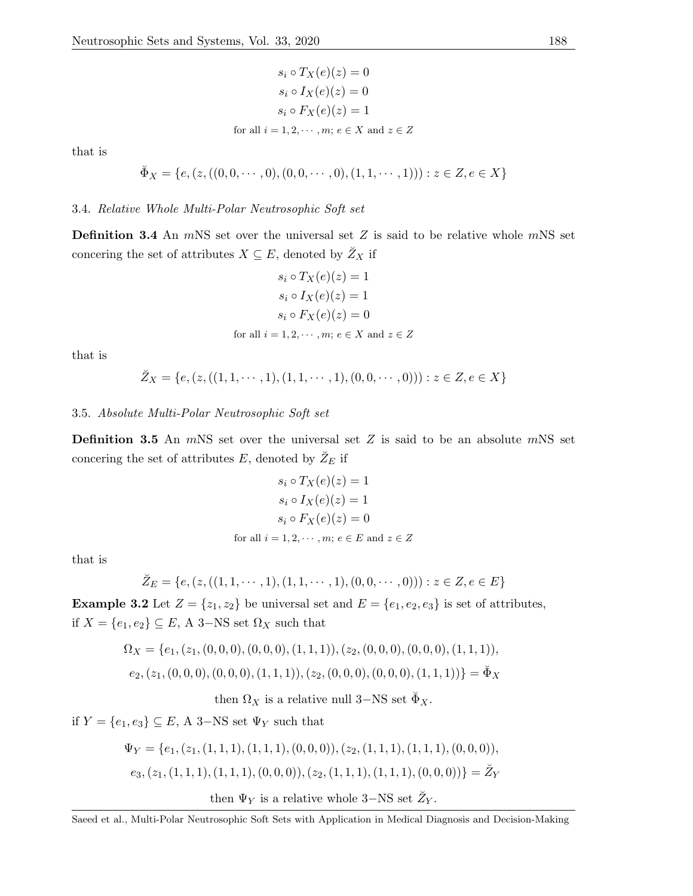$$
s_i \circ T_X(e)(z) = 0
$$
  
\n
$$
s_i \circ I_X(e)(z) = 0
$$
  
\n
$$
s_i \circ F_X(e)(z) = 1
$$
  
\nfor all  $i = 1, 2, \dots, m; e \in X$  and  $z \in Z$ 

that is

$$
\breve{\Phi}_X = \{e, (z, ((0,0,\cdots,0), (0,0,\cdots,0), (1,1,\cdots,1))) : z \in Z, e \in X\}
$$

#### 3.4. Relative Whole Multi-Polar Neutrosophic Soft set

**Definition 3.4** An  $m$ NS set over the universal set  $Z$  is said to be relative whole  $m$ NS set concering the set of attributes  $X \subseteq E$ , denoted by  $\tilde{Z}_X$  if

$$
s_i \circ T_X(e)(z) = 1
$$
  
\n
$$
s_i \circ I_X(e)(z) = 1
$$
  
\n
$$
s_i \circ F_X(e)(z) = 0
$$
  
\nfor all  $i = 1, 2, \dots, m; e \in X$  and  $z \in Z$ 

that is

$$
\breve{Z}_X = \{e, (z, ((1, 1, \cdots, 1), (1, 1, \cdots, 1), (0, 0, \cdots, 0))) : z \in Z, e \in X\}
$$

### 3.5. Absolute Multi-Polar Neutrosophic Soft set

**Definition 3.5** An  $m$ NS set over the universal set Z is said to be an absolute  $m$ NS set concering the set of attributes  $E$ , denoted by  $\tilde{Z}_E$  if

$$
s_i \circ T_X(e)(z) = 1
$$
  
\n
$$
s_i \circ I_X(e)(z) = 1
$$
  
\n
$$
s_i \circ F_X(e)(z) = 0
$$
  
\nfor all  $i = 1, 2, \dots, m; e \in E$  and  $z \in Z$ 

that is

$$
\breve{Z}_E = \{e, (z, ((1, 1, \cdots, 1), (1, 1, \cdots, 1), (0, 0, \cdots, 0))) : z \in Z, e \in E\}
$$

**Example 3.2** Let  $Z = \{z_1, z_2\}$  be universal set and  $E = \{e_1, e_2, e_3\}$  is set of attributes, if  $X = \{e_1, e_2\} \subseteq E$ , A 3–NS set  $\Omega_X$  such that

$$
\Omega_X = \{e_1, (z_1, (0,0,0), (0,0,0), (1,1,1)), (z_2, (0,0,0), (0,0,0), (1,1,1)),
$$
  

$$
e_2, (z_1, (0,0,0), (0,0,0), (1,1,1)), (z_2, (0,0,0), (0,0,0), (1,1,1))\} = \check{\Phi}_X
$$

then  $\Omega_X$  is a relative null 3–NS set  $\check{\Phi}_X$ .

if  $Y = \{e_1, e_3\} \subseteq E$ , A 3–NS set  $\Psi_Y$  such that

$$
\Psi_Y = \{e_1, (z_1, (1, 1, 1), (1, 1, 1), (0, 0, 0)), (z_2, (1, 1, 1), (1, 1, 1), (0, 0, 0)),
$$
  

$$
e_3, (z_1, (1, 1, 1), (1, 1, 1), (0, 0, 0)), (z_2, (1, 1, 1), (1, 1, 1), (0, 0, 0))\} = \check{Z}_Y
$$
  
then  $\Psi_Y$  is a relative whole 3–NS set  $\check{Z}_Y$ .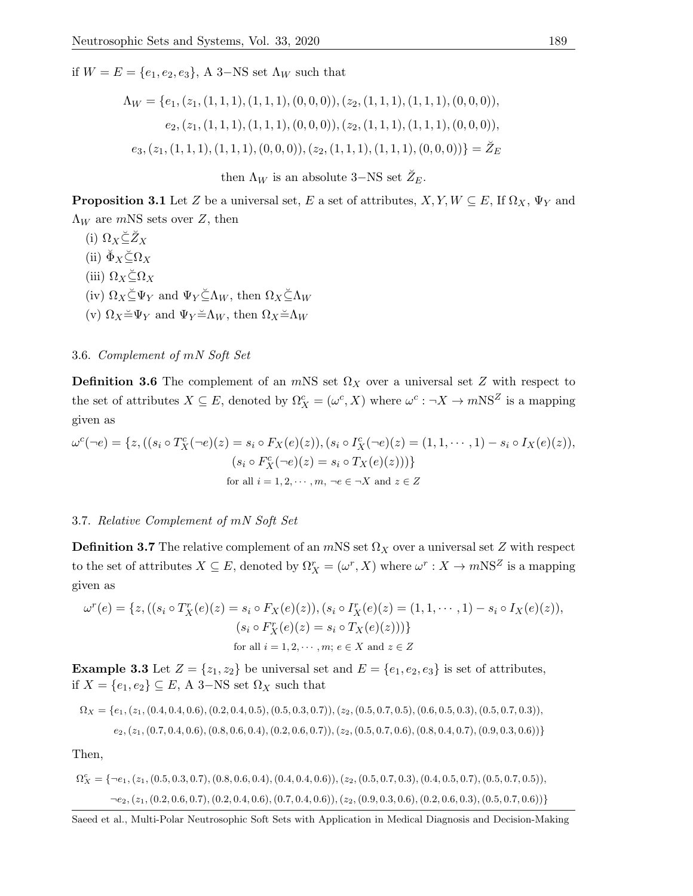if  $W = E = \{e_1, e_2, e_3\}$ , A 3–NS set  $\Lambda_W$  such that

$$
\Lambda_W = \{e_1, (z_1, (1, 1, 1), (1, 1, 1), (0, 0, 0)), (z_2, (1, 1, 1), (1, 1, 1), (0, 0, 0)),
$$
  
\n
$$
e_2, (z_1, (1, 1, 1), (1, 1, 1), (0, 0, 0)), (z_2, (1, 1, 1), (1, 1, 1), (0, 0, 0)),
$$
  
\n
$$
e_3, (z_1, (1, 1, 1), (1, 1, 1), (0, 0, 0)), (z_2, (1, 1, 1), (1, 1, 1), (0, 0, 0))\} = \check{Z}_E
$$

then  $\Lambda_W$  is an absolute 3–NS set  $\breve{Z}_E$ .

**Proposition 3.1** Let Z be a universal set, E a set of attributes,  $X, Y, W \subseteq E$ , If  $\Omega_X$ ,  $\Psi_Y$  and  $\Lambda_W$  are mNS sets over Z, then

(i)  $\Omega_X \check{\subseteq} \check{Z}_X$ (ii)  $\breve{\Phi}_X \breve{\subseteq} \Omega_X$ (iii)  $\Omega_X \leq \Omega_X$ (iv)  $\Omega_X \check{\subset} \Psi_Y$  and  $\Psi_Y \check{\subset} \Lambda_W$ , then  $\Omega_X \check{\subset} \Lambda_W$ (v)  $\Omega_X = \Psi_Y$  and  $\Psi_Y = \Lambda_W$ , then  $\Omega_X = \Lambda_W$ 

3.6. Complement of mN Soft Set

**Definition 3.6** The complement of an mNS set  $\Omega_X$  over a universal set Z with respect to the set of attributes  $X \subseteq E$ , denoted by  $\Omega_X^c = (\omega^c, X)$  where  $\omega^c : \neg X \to mNS^Z$  is a mapping given as

$$
\omega^c(\neg e) = \{z, ((s_i \circ T_X^c(\neg e)(z) = s_i \circ F_X(e)(z)), (s_i \circ T_X^c(\neg e)(z) = (1, 1, \cdots, 1) - s_i \circ I_X(e)(z)),
$$
  
\n
$$
(s_i \circ F_X^c(\neg e)(z) = s_i \circ T_X(e)(z)))\}
$$
  
\nfor all  $i = 1, 2, \cdots, m, \neg e \in \neg X$  and  $z \in Z$ 

# 3.7. Relative Complement of mN Soft Set

**Definition 3.7** The relative complement of an mNS set  $\Omega_X$  over a universal set Z with respect to the set of attributes  $X \subseteq E$ , denoted by  $\Omega_X^r = (\omega^r, X)$  where  $\omega^r : X \to mNS^Z$  is a mapping given as

$$
\omega^{r}(e) = \{ z, ((s_i \circ T_X^{r}(e)(z) = s_i \circ F_X(e)(z)), (s_i \circ T_X^{r}(e)(z) = (1, 1, \cdots, 1) - s_i \circ I_X(e)(z)),
$$
  
\n
$$
(s_i \circ F_X^{r}(e)(z) = s_i \circ T_X(e)(z))) \}
$$
  
\nfor all  $i = 1, 2, \cdots, m; e \in X$  and  $z \in Z$ 

**Example 3.3** Let  $Z = \{z_1, z_2\}$  be universal set and  $E = \{e_1, e_2, e_3\}$  is set of attributes, if  $X = \{e_1, e_2\}$  ⊆ E, A 3–NS set  $\Omega_X$  such that

$$
\Omega_X = \{e_1, (z_1, (0.4, 0.4, 0.6), (0.2, 0.4, 0.5), (0.5, 0.3, 0.7)), (z_2, (0.5, 0.7, 0.5), (0.6, 0.5, 0.3), (0.5, 0.7, 0.3)), (z_2, (z_1, (0.7, 0.4, 0.6), (0.8, 0.6, 0.4), (0.2, 0.6, 0.7)), (z_2, (0.5, 0.7, 0.6), (0.8, 0.4, 0.7), (0.9, 0.3, 0.6))\}
$$

Then,

$$
\Omega_X^c = \{ \neg e_1, (z_1, (0.5, 0.3, 0.7), (0.8, 0.6, 0.4), (0.4, 0.4, 0.6)), (z_2, (0.5, 0.7, 0.3), (0.4, 0.5, 0.7), (0.5, 0.7, 0.5)),
$$
  

$$
\neg e_2, (z_1, (0.2, 0.6, 0.7), (0.2, 0.4, 0.6), (0.7, 0.4, 0.6)), (z_2, (0.9, 0.3, 0.6), (0.2, 0.6, 0.3), (0.5, 0.7, 0.6)) \}
$$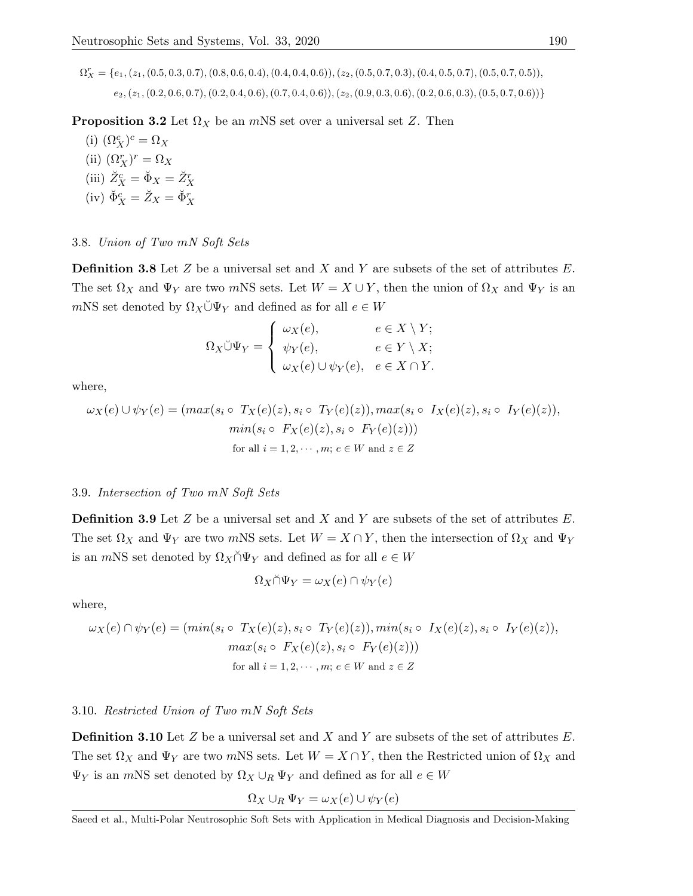$\Omega_X^r = \{e_1, (z_1, (0.5, 0.3, 0.7), (0.8, 0.6, 0.4), (0.4, 0.4, 0.6)), (z_2, (0.5, 0.7, 0.3), (0.4, 0.5, 0.7), (0.5, 0.7, 0.5)),$  $(e_2, (z_1, (0.2, 0.6, 0.7), (0.2, 0.4, 0.6), (0.7, 0.4, 0.6)), (z_2, (0.9, 0.3, 0.6), (0.2, 0.6, 0.3), (0.5, 0.7, 0.6))\}$ 

**Proposition 3.2** Let  $\Omega_X$  be an mNS set over a universal set Z. Then

(i)  $(\Omega_X^c)^c = \Omega_X$ (ii)  $(\Omega_X^r)^r = \Omega_X$ (iii)  $\check{Z}_X^c = \check{\Phi}_X = \check{Z}_X^r$ (iv)  $\check{\Phi}_X^c = \check{Z}_X = \check{\Phi}_X^r$ 

# 3.8. Union of Two mN Soft Sets

**Definition 3.8** Let Z be a universal set and X and Y are subsets of the set of attributes  $E$ . The set  $\Omega_X$  and  $\Psi_Y$  are two mNS sets. Let  $W = X \cup Y$ , then the union of  $\Omega_X$  and  $\Psi_Y$  is an mNS set denoted by  $\Omega_X \check{\cup} \Psi_Y$  and defined as for all  $e \in W$ 

$$
\Omega_X \breve{\cup} \Psi_Y = \begin{cases} \omega_X(e), & e \in X \setminus Y; \\ \psi_Y(e), & e \in Y \setminus X; \\ \omega_X(e) \cup \psi_Y(e), & e \in X \cap Y. \end{cases}
$$

where,

$$
\omega_X(e) \cup \psi_Y(e) = (max(s_i \circ T_X(e)(z), s_i \circ T_Y(e)(z)), max(s_i \circ I_X(e)(z), s_i \circ I_Y(e)(z)),
$$
  
\n
$$
min(s_i \circ F_X(e)(z), s_i \circ F_Y(e)(z)))
$$
  
\nfor all  $i = 1, 2, \dots, m; e \in W$  and  $z \in Z$ 

### 3.9. Intersection of Two mN Soft Sets

**Definition 3.9** Let  $Z$  be a universal set and  $X$  and  $Y$  are subsets of the set of attributes  $E$ . The set  $\Omega_X$  and  $\Psi_Y$  are two mNS sets. Let  $W = X \cap Y$ , then the intersection of  $\Omega_X$  and  $\Psi_Y$ is an *mNS* set denoted by  $\Omega_X \cap \Psi_Y$  and defined as for all  $e \in W$ 

$$
\Omega_X \cap \Psi_Y = \omega_X(e) \cap \psi_Y(e)
$$

where,

$$
\omega_X(e) \cap \psi_Y(e) = (min(s_i \circ T_X(e)(z), s_i \circ T_Y(e)(z)), min(s_i \circ I_X(e)(z), s_i \circ I_Y(e)(z)),
$$
  

$$
max(s_i \circ F_X(e)(z), s_i \circ F_Y(e)(z)))
$$
  
for all  $i = 1, 2, \dots, m; e \in W$  and  $z \in Z$ 

### 3.10. Restricted Union of Two mN Soft Sets

**Definition 3.10** Let  $Z$  be a universal set and  $X$  and  $Y$  are subsets of the set of attributes  $E$ . The set  $\Omega_X$  and  $\Psi_Y$  are two mNS sets. Let  $W = X \cap Y$ , then the Restricted union of  $\Omega_X$  and  $\Psi_Y$  is an *mNS* set denoted by  $\Omega_X \cup_R \Psi_Y$  and defined as for all  $e \in W$ 

$$
\Omega_X \cup_R \Psi_Y = \omega_X(e) \cup \psi_Y(e)
$$

Saeed et al., Multi-Polar Neutrosophic Soft Sets with Application in Medical Diagnosis and Decision-Making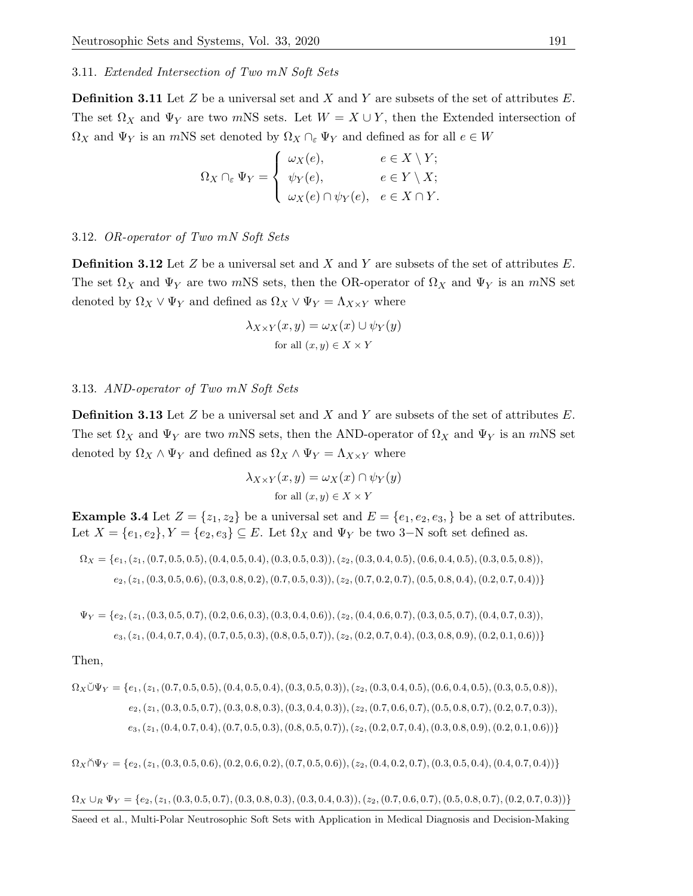### 3.11. Extended Intersection of Two mN Soft Sets

**Definition 3.11** Let  $Z$  be a universal set and  $X$  and  $Y$  are subsets of the set of attributes  $E$ . The set  $\Omega_X$  and  $\Psi_Y$  are two mNS sets. Let  $W = X \cup Y$ , then the Extended intersection of  $\Omega_X$  and  $\Psi_Y$  is an mNS set denoted by  $\Omega_X \cap_{\varepsilon} \Psi_Y$  and defined as for all  $e \in W$ 

$$
\Omega_X \cap_{\varepsilon} \Psi_Y = \begin{cases} \omega_X(e), & e \in X \setminus Y; \\ \psi_Y(e), & e \in Y \setminus X; \\ \omega_X(e) \cap \psi_Y(e), & e \in X \cap Y. \end{cases}
$$

# 3.12. OR-operator of Two mN Soft Sets

**Definition 3.12** Let  $Z$  be a universal set and  $X$  and  $Y$  are subsets of the set of attributes  $E$ . The set  $\Omega_X$  and  $\Psi_Y$  are two mNS sets, then the OR-operator of  $\Omega_X$  and  $\Psi_Y$  is an mNS set denoted by  $\Omega_X \vee \Psi_Y$  and defined as  $\Omega_X \vee \Psi_Y = \Lambda_{X \times Y}$  where

$$
\lambda_{X \times Y}(x, y) = \omega_X(x) \cup \psi_Y(y)
$$
  
for all  $(x, y) \in X \times Y$ 

### 3.13. AND-operator of Two mN Soft Sets

**Definition 3.13** Let  $Z$  be a universal set and  $X$  and  $Y$  are subsets of the set of attributes  $E$ . The set  $\Omega_X$  and  $\Psi_Y$  are two mNS sets, then the AND-operator of  $\Omega_X$  and  $\Psi_Y$  is an mNS set denoted by  $\Omega_X \wedge \Psi_Y$  and defined as  $\Omega_X \wedge \Psi_Y = \Lambda_{X \times Y}$  where

$$
\lambda_{X \times Y}(x, y) = \omega_X(x) \cap \psi_Y(y)
$$
  
for all  $(x, y) \in X \times Y$ 

**Example 3.4** Let  $Z = \{z_1, z_2\}$  be a universal set and  $E = \{e_1, e_2, e_3, \}$  be a set of attributes. Let  $X = \{e_1, e_2\}, Y = \{e_2, e_3\} \subseteq E$ . Let  $\Omega_X$  and  $\Psi_Y$  be two 3-N soft set defined as.

$$
\Omega_X = \{e_1, (z_1, (0.7, 0.5, 0.5), (0.4, 0.5, 0.4), (0.3, 0.5, 0.3)), (z_2, (0.3, 0.4, 0.5), (0.6, 0.4, 0.5), (0.3, 0.5, 0.8)), (z_2, (z_1, (0.3, 0.5, 0.6), (0.3, 0.8, 0.2), (0.7, 0.5, 0.3)), (z_2, (0.7, 0.2, 0.7), (0.5, 0.8, 0.4), (0.2, 0.7, 0.4))\}
$$

 $\Psi_Y = \{e_2, (z_1, (0.3, 0.5, 0.7), (0.2, 0.6, 0.3), (0.3, 0.4, 0.6)), (z_2, (0.4, 0.6, 0.7), (0.3, 0.5, 0.7), (0.4, 0.7, 0.3)),$  $(e_3, (z_1, (0.4, 0.7, 0.4), (0.7, 0.5, 0.3), (0.8, 0.5, 0.7)), (z_2, (0.2, 0.7, 0.4), (0.3, 0.8, 0.9), (0.2, 0.1, 0.6))$ 

Then,

$$
\Omega_X \breve{\cup} \Psi_Y = \{e_1, (z_1, (0.7, 0.5, 0.5), (0.4, 0.5, 0.4), (0.3, 0.5, 0.3)), (z_2, (0.3, 0.4, 0.5), (0.6, 0.4, 0.5), (0.3, 0.5, 0.8)),
$$
  
\n
$$
e_2, (z_1, (0.3, 0.5, 0.7), (0.3, 0.8, 0.3), (0.3, 0.4, 0.3)), (z_2, (0.7, 0.6, 0.7), (0.5, 0.8, 0.7), (0.2, 0.7, 0.3)),
$$
  
\n
$$
e_3, (z_1, (0.4, 0.7, 0.4), (0.7, 0.5, 0.3), (0.8, 0.5, 0.7)), (z_2, (0.2, 0.7, 0.4), (0.3, 0.8, 0.9), (0.2, 0.1, 0.6))\}
$$

 $\Omega_X \triangle \Psi_Y = \{e_2, (z_1, (0.3, 0.5, 0.6), (0.2, 0.6, 0.2), (0.7, 0.5, 0.6)), (z_2, (0.4, 0.2, 0.7), (0.3, 0.5, 0.4), (0.4, 0.7, 0.4))\}$ 

 $\Omega_X \cup_R \Psi_Y = \{e_2, (z_1, (0.3, 0.5, 0.7), (0.3, 0.8, 0.3), (0.3, 0.4, 0.3)), (z_2, (0.7, 0.6, 0.7), (0.5, 0.8, 0.7), (0.2, 0.7, 0.3))\}$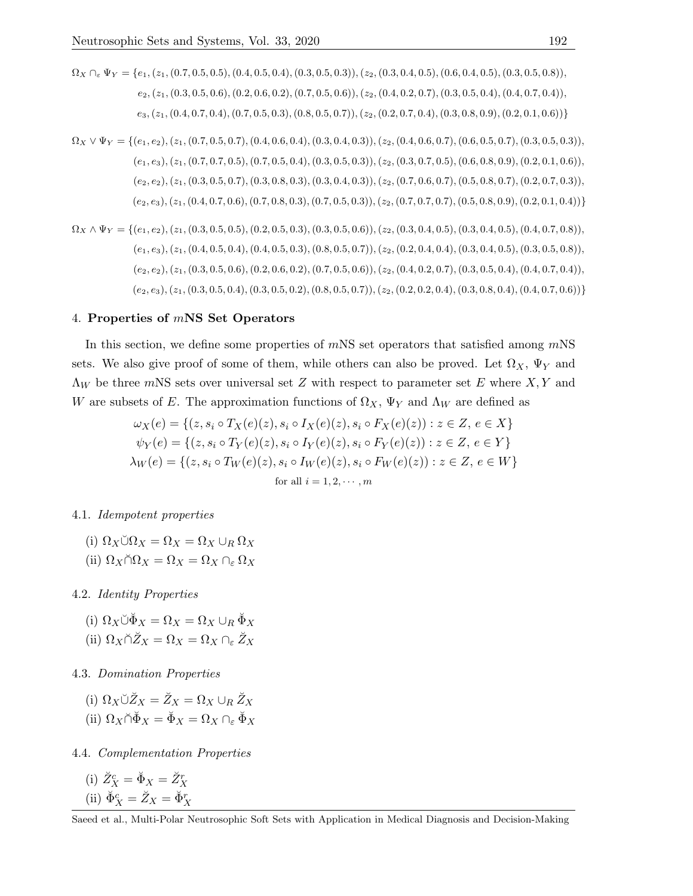$\Omega_X \cap_{\varepsilon} \Psi_Y = \{e_1, (z_1, (0.7, 0.5, 0.5), (0.4, 0.5, 0.4), (0.3, 0.5, 0.3)), (z_2, (0.3, 0.4, 0.5), (0.6, 0.4, 0.5), (0.3, 0.5, 0.8)),$  $e_2, (z_1, (0.3, 0.5, 0.6), (0.2, 0.6, 0.2), (0.7, 0.5, 0.6)), (z_2, (0.4, 0.2, 0.7), (0.3, 0.5, 0.4), (0.4, 0.7, 0.4)),$  $e_3, (z_1, (0.4, 0.7, 0.4), (0.7, 0.5, 0.3), (0.8, 0.5, 0.7)), (z_2, (0.2, 0.7, 0.4), (0.3, 0.8, 0.9), (0.2, 0.1, 0.6))\}$ 

 $\Omega_X \vee \Psi_Y = \{(e_1, e_2), (z_1, (0.7, 0.5, 0.7), (0.4, 0.6, 0.4), (0.3, 0.4, 0.3)), (z_2, (0.4, 0.6, 0.7), (0.6, 0.5, 0.7), (0.3, 0.5, 0.3)\},\$  $(e_1, e_3), (z_1, (0.7, 0.7, 0.5), (0.7, 0.5, 0.4), (0.3, 0.5, 0.3)), (z_2, (0.3, 0.7, 0.5), (0.6, 0.8, 0.9), (0.2, 0.1, 0.6)),$  $(e_2, e_2), (z_1, (0.3, 0.5, 0.7), (0.3, 0.8, 0.3), (0.3, 0.4, 0.3)), (z_2, (0.7, 0.6, 0.7), (0.5, 0.8, 0.7), (0.2, 0.7, 0.3)),$  $(e_2, e_3), (z_1, (0.4, 0.7, 0.6), (0.7, 0.8, 0.3), (0.7, 0.5, 0.3)), (z_2, (0.7, 0.7, 0.7), (0.5, 0.8, 0.9), (0.2, 0.1, 0.4))\}$ 

$$
\Omega_X \wedge \Psi_Y = \{ (e_1, e_2), (z_1, (0.3, 0.5, 0.5), (0.2, 0.5, 0.3), (0.3, 0.5, 0.6)), (z_2, (0.3, 0.4, 0.5), (0.3, 0.4, 0.5), (0.4, 0.7, 0.8)),
$$
  
\n
$$
(e_1, e_3), (z_1, (0.4, 0.5, 0.4), (0.4, 0.5, 0.3), (0.8, 0.5, 0.7)), (z_2, (0.2, 0.4, 0.4), (0.3, 0.4, 0.5), (0.3, 0.5, 0.8)),
$$
  
\n
$$
(e_2, e_2), (z_1, (0.3, 0.5, 0.6), (0.2, 0.6, 0.2), (0.7, 0.5, 0.6)), (z_2, (0.4, 0.2, 0.7), (0.3, 0.5, 0.4), (0.4, 0.7, 0.4)),
$$
  
\n
$$
(e_2, e_3), (z_1, (0.3, 0.5, 0.4), (0.3, 0.5, 0.2), (0.8, 0.5, 0.7)), (z_2, (0.2, 0.2, 0.4), (0.3, 0.8, 0.4), (0.4, 0.7, 0.6)))
$$

#### 4. Properties of mNS Set Operators

In this section, we define some properties of  $mNS$  set operators that satisfied among  $mNS$ sets. We also give proof of some of them, while others can also be proved. Let  $\Omega_X$ ,  $\Psi_Y$  and  $\Lambda_W$  be three mNS sets over universal set Z with respect to parameter set E where X, Y and W are subsets of E. The approximation functions of  $\Omega_X$ ,  $\Psi_Y$  and  $\Lambda_W$  are defined as

$$
\omega_X(e) = \{(z, s_i \circ T_X(e)(z), s_i \circ I_X(e)(z), s_i \circ F_X(e)(z)) : z \in Z, e \in X\}
$$
  

$$
\psi_Y(e) = \{(z, s_i \circ T_Y(e)(z), s_i \circ I_Y(e)(z), s_i \circ F_Y(e)(z)) : z \in Z, e \in Y\}
$$
  

$$
\lambda_W(e) = \{(z, s_i \circ T_W(e)(z), s_i \circ I_W(e)(z), s_i \circ F_W(e)(z)) : z \in Z, e \in W\}
$$
  
for all  $i = 1, 2, \dots, m$ 

### 4.1. Idempotent properties

(i)  $\Omega_X \check{\cup} \Omega_X = \Omega_X = \Omega_X \cup_R \Omega_X$ 

(ii) 
$$
\Omega_X \cap \Omega_X = \Omega_X = \Omega_X \cap_{\varepsilon} \Omega_X
$$

4.2. Identity Properties

(i)  $\Omega_X \check{\cup} \check{\Phi}_X = \Omega_X = \Omega_X \cup_B \check{\Phi}_X$ (ii)  $\Omega_X \cap \tilde{Z}_X = \Omega_X = \Omega_X \cap_{\varepsilon} \tilde{Z}_X$ 

4.3. Domination Properties

(i)  $\Omega_X \check{\cup} \check{Z}_X = \check{Z}_X = \Omega_X \cup_R \check{Z}_X$ (ii)  $\Omega_X \cap \check{\Phi}_X = \check{\Phi}_X = \Omega_X \cap_{\varepsilon} \check{\Phi}_X$ 

4.4. Complementation Properties

(i) 
$$
\breve{Z}_X^c = \breve{\Phi}_X = \breve{Z}_X^r
$$
  
\n(ii)  $\breve{\Phi}_X^c = \breve{Z}_X = \breve{\Phi}_X^r$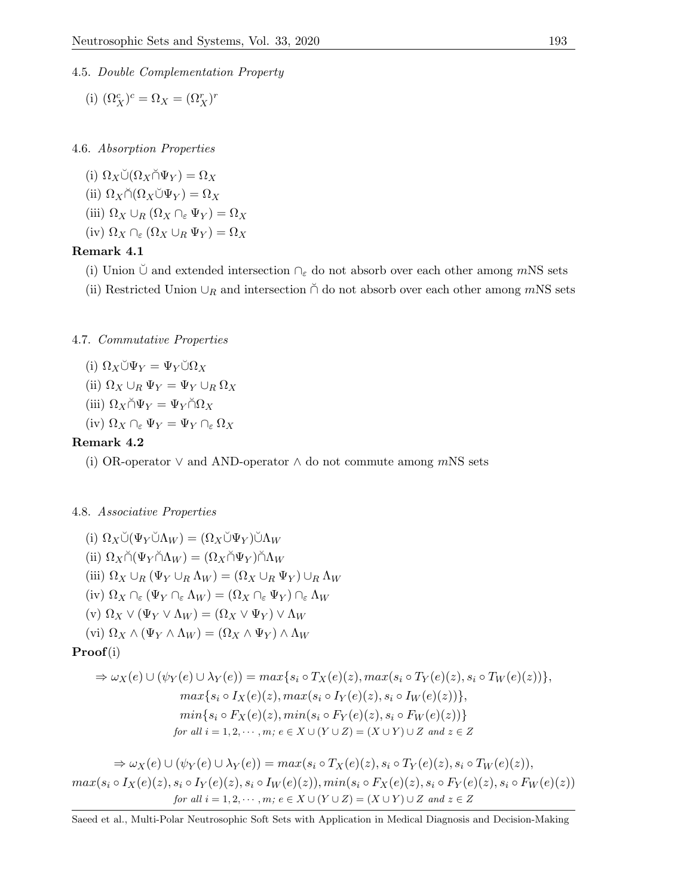# 4.5. Double Complementation Property

(i)  $(\Omega_X^c)^c = \Omega_X = (\Omega_X^r)^r$ 

4.6. Absorption Properties

(i)  $\Omega_X \check{\cup} (\Omega_X \check{\cap} \Psi_Y) = \Omega_X$ (ii)  $\Omega_X \cap (\Omega_X \cup \Psi_Y) = \Omega_X$ (iii)  $\Omega_X \cup_B (\Omega_X \cap_{\varepsilon} \Psi_Y) = \Omega_X$ (iv)  $\Omega_X \cap_{\varepsilon} (\Omega_X \cup_R \Psi_Y) = \Omega_X$ 

# Remark 4.1

- (i) Union  $\cup$  and extended intersection  $\cap_{\varepsilon}$  do not absorb over each other among mNS sets
- (ii) Restricted Union  $\cup_R$  and intersection  $\cap$  do not absorb over each other among mNS sets

# 4.7. Commutative Properties

$$
(i) \ \Omega_X \breve{\cup} \Psi_Y = \Psi_Y \breve{\cup} \Omega_X
$$

- (ii)  $\Omega_X \cup_R \Psi_Y = \Psi_Y \cup_R \Omega_X$
- (iii)  $\Omega_X \cap \Psi_Y = \Psi_Y \cap \Omega_X$
- (iv)  $\Omega_X \cap_{\varepsilon} \Psi_Y = \Psi_Y \cap_{\varepsilon} \Omega_X$

# Remark 4.2

(i) OR-operator  $\vee$  and AND-operator  $\wedge$  do not commute among mNS sets

# 4.8. Associative Properties

(i)  $\Omega_X \check{\cup} (\Psi_Y \check{\cup} \Lambda_W) = (\Omega_X \check{\cup} \Psi_Y) \check{\cup} \Lambda_W$ (ii)  $\Omega_X \cap (\Psi_Y \cap \Lambda_W) = (\Omega_X \cap \Psi_Y) \cap \Lambda_W$ (iii)  $\Omega_X \cup_R (\Psi_Y \cup_R \Lambda_W) = (\Omega_X \cup_R \Psi_Y) \cup_R \Lambda_W$ (iv)  $\Omega_X \cap_{\varepsilon} (\Psi_Y \cap_{\varepsilon} \Lambda_W) = (\Omega_X \cap_{\varepsilon} \Psi_Y) \cap_{\varepsilon} \Lambda_W$ (v)  $\Omega_X \vee (\Psi_Y \vee \Lambda_W) = (\Omega_X \vee \Psi_Y) \vee \Lambda_W$ (vi)  $\Omega_X \wedge (\Psi_Y \wedge \Lambda_W) = (\Omega_X \wedge \Psi_Y) \wedge \Lambda_W$ Proof(i)  $\Rightarrow \omega_X(e) \cup (\psi_Y(e) \cup \lambda_Y(e)) = max\{s_i \circ T_X(e)(z), max(s_i \circ T_Y(e)(z), s_i \circ T_W(e)(z))\},\$  $max\{s_i \circ I_X(e)(z), max(s_i \circ I_Y(e)(z), s_i \circ I_W(e)(z))\},$  $min\{s_i \circ F_X(e)(z), min(s_i \circ F_Y(e)(z), s_i \circ F_W(e)(z))\}$ for all  $i = 1, 2, \cdots, m$ ;  $e \in X \cup (Y \cup Z) = (X \cup Y) \cup Z$  and  $z \in Z$  $\Rightarrow \omega_X(e) \cup (\psi_Y(e) \cup \lambda_Y(e)) = max(s_i \circ T_X(e)(z), s_i \circ T_Y(e)(z), s_i \circ T_W(e)(z)),$  $max(s_i \circ I_X(e)(z), s_i \circ I_Y(e)(z), s_i \circ I_W(e)(z)), min(s_i \circ F_X(e)(z), s_i \circ F_Y(e)(z), s_i \circ F_W(e)(z))$ for all  $i = 1, 2, \dots, m$ ;  $e \in X \cup (Y \cup Z) = (X \cup Y) \cup Z$  and  $z \in Z$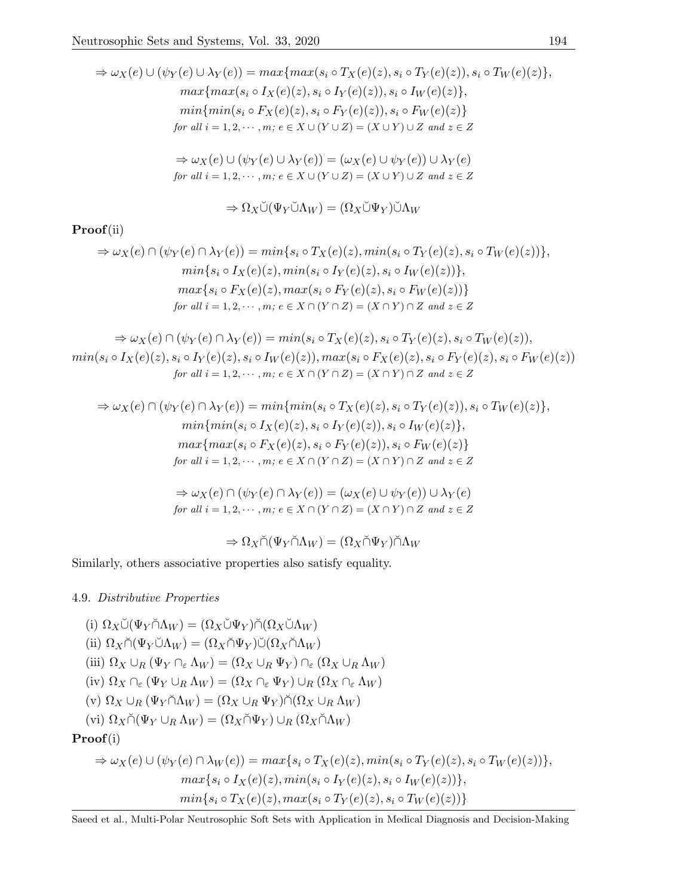$$
\Rightarrow \omega_X(e) \cup (\psi_Y(e) \cup \lambda_Y(e)) = max\{max(s_i \circ T_X(e)(z), s_i \circ T_Y(e)(z)), s_i \circ T_W(e)(z)\},
$$
  
\n
$$
max\{max(s_i \circ I_X(e)(z), s_i \circ I_Y(e)(z)), s_i \circ I_W(e)(z)\},
$$
  
\n
$$
min\{min(s_i \circ F_X(e)(z), s_i \circ F_Y(e)(z)), s_i \circ F_W(e)(z)\}
$$
  
\nfor all  $i = 1, 2, \dots, m; e \in X \cup (Y \cup Z) = (X \cup Y) \cup Z$  and  $z \in Z$   
\n
$$
\Rightarrow \omega_X(e) \cup (\psi_Y(e) \cup \lambda_Y(e)) = (\omega_X(e) \cup \psi_Y(e)) \cup \lambda_Y(e)
$$

for all  $i = 1, 2, \cdots, m$ ;  $e \in X \cup (Y \cup Z) = (X \cup Y) \cup Z$  and  $z \in Z$ 

$$
\Rightarrow \Omega_X \breve{\cup} (\Psi_Y \breve{\cup} \Lambda_W) = (\Omega_X \breve{\cup} \Psi_Y) \breve{\cup} \Lambda_W
$$

# Proof(ii)

$$
\Rightarrow \omega_X(e) \cap (\psi_Y(e) \cap \lambda_Y(e)) = min\{s_i \circ T_X(e)(z), min(s_i \circ T_Y(e)(z), s_i \circ T_W(e)(z))\},\
$$

$$
min\{s_i \circ I_X(e)(z), min(s_i \circ I_Y(e)(z), s_i \circ I_W(e)(z))\},\
$$

$$
max\{s_i \circ F_X(e)(z), max(s_i \circ F_Y(e)(z), s_i \circ F_W(e)(z))\}
$$

$$
for all i = 1, 2, \cdots, m; e \in X \cap (Y \cap Z) = (X \cap Y) \cap Z \text{ and } z \in Z
$$

$$
\Rightarrow \omega_X(e) \cap (\psi_Y(e) \cap \lambda_Y(e)) = \min(s_i \circ T_X(e)(z), s_i \circ T_Y(e)(z), s_i \circ T_W(e)(z)),
$$
  
\n
$$
\min(s_i \circ I_X(e)(z), s_i \circ I_Y(e)(z), s_i \circ I_W(e)(z)), \max(s_i \circ F_X(e)(z), s_i \circ F_Y(e)(z), s_i \circ F_W(e)(z))
$$
  
\nfor all  $i = 1, 2, \dots, m; e \in X \cap (Y \cap Z) = (X \cap Y) \cap Z$  and  $z \in Z$ 

$$
\Rightarrow \omega_X(e) \cap (\psi_Y(e) \cap \lambda_Y(e)) = \min\{\min(s_i \circ T_X(e)(z), s_i \circ T_Y(e)(z)), s_i \circ T_W(e)(z)\},\
$$

$$
\min\{\min(s_i \circ I_X(e)(z), s_i \circ I_Y(e)(z)), s_i \circ I_W(e)(z)\},\
$$

$$
\max\{\max(s_i \circ F_X(e)(z), s_i \circ F_Y(e)(z)), s_i \circ F_W(e)(z)\}
$$

$$
\text{for all } i = 1, 2, \cdots, m; e \in X \cap (Y \cap Z) = (X \cap Y) \cap Z \text{ and } z \in Z
$$

$$
\Rightarrow \omega_X(e) \cap (\psi_Y(e) \cap \lambda_Y(e)) = (\omega_X(e) \cup \psi_Y(e)) \cup \lambda_Y(e)
$$
  
for all  $i = 1, 2, \dots, m$ ;  $e \in X \cap (Y \cap Z) = (X \cap Y) \cap Z$  and  $z \in Z$ 

$$
\Rightarrow \Omega_X \breve{\cap} (\Psi_Y \breve{\cap} \Lambda_W) = (\Omega_X \breve{\cap} \Psi_Y) \breve{\cap} \Lambda_W
$$

Similarly, others associative properties also satisfy equality.

# 4.9. Distributive Properties

(i)  $\Omega_X \check{\cup} (\Psi_Y \check{\cap} \Lambda_W) = (\Omega_X \check{\cup} \Psi_Y) \check{\cap} (\Omega_X \check{\cup} \Lambda_W)$ (ii)  $\Omega_X \cap (\Psi_Y \cup \Lambda_W) = (\Omega_X \cap \Psi_Y) \cup (\Omega_X \cap \Lambda_W)$ (iii)  $\Omega_X \cup_R (\Psi_Y \cap_{\varepsilon} \Lambda_W) = (\Omega_X \cup_R \Psi_Y) \cap_{\varepsilon} (\Omega_X \cup_R \Lambda_W)$ (iv)  $\Omega_X \cap_{\varepsilon} (\Psi_Y \cup_R \Lambda_W) = (\Omega_X \cap_{\varepsilon} \Psi_Y) \cup_R (\Omega_X \cap_{\varepsilon} \Lambda_W)$ (v)  $\Omega_X \cup_R (\Psi_Y \cap \Lambda_W) = (\Omega_X \cup_R \Psi_Y) \cap (\Omega_X \cup_R \Lambda_W)$ (vi)  $\Omega_X \cap (\Psi_Y \cup_R \Lambda_W) = (\Omega_X \cap \Psi_Y) \cup_R (\Omega_X \cap \Lambda_W)$ Proof(i)  $\Rightarrow \omega_X(e) \cup (\psi_Y(e) \cap \lambda_W(e)) = max\{s_i \circ T_X(e)(z), min(s_i \circ T_Y(e)(z), s_i \circ T_W(e)(z))\},$  $max{s_i \circ I_X(e)(z), min(s_i \circ I_Y(e)(z), s_i \circ I_W(e)(z))},$  $min\{s_i \circ T_X(e)(z), max(s_i \circ T_Y(e)(z), s_i \circ T_W(e)(z))\}$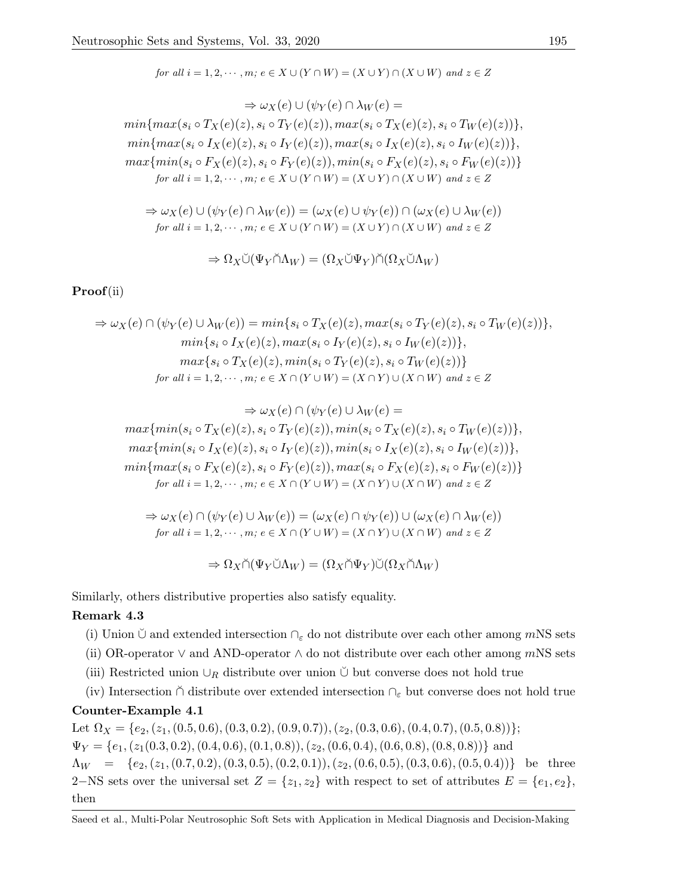for all 
$$
i = 1, 2, \dots, m
$$
;  $e \in X \cup (Y \cap W) = (X \cup Y) \cap (X \cup W)$  and  $z \in Z$ 

$$
\Rightarrow \omega_X(e) \cup (\psi_Y(e) \cap \lambda_W(e) =
$$
  

$$
\min\{\max(s_i \circ T_X(e)(z), s_i \circ T_Y(e)(z)), \max(s_i \circ T_X(e)(z), s_i \circ T_W(e)(z))\},\
$$
  

$$
\min\{\max(s_i \circ I_X(e)(z), s_i \circ I_Y(e)(z)), \max(s_i \circ I_X(e)(z), s_i \circ I_W(e)(z))\},\
$$
  

$$
\max\{\min(s_i \circ F_X(e)(z), s_i \circ F_Y(e)(z)), \min(s_i \circ F_X(e)(z), s_i \circ F_W(e)(z))\}
$$
  

$$
\text{for all } i = 1, 2, \cdots, m; e \in X \cup (Y \cap W) = (X \cup Y) \cap (X \cup W) \text{ and } z \in Z
$$

$$
\Rightarrow \omega_X(e) \cup (\psi_Y(e) \cap \lambda_W(e)) = (\omega_X(e) \cup \psi_Y(e)) \cap (\omega_X(e) \cup \lambda_W(e))
$$
  
for all  $i = 1, 2, \dots, m$ ;  $e \in X \cup (Y \cap W) = (X \cup Y) \cap (X \cup W)$  and  $z \in Z$ 

$$
\Rightarrow \Omega_X \breve{\cup} (\Psi_Y \breve{\cap} \Lambda_W) = (\Omega_X \breve{\cup} \Psi_Y) \breve{\cap} (\Omega_X \breve{\cup} \Lambda_W)
$$

# Proof(ii)

$$
\Rightarrow \omega_X(e) \cap (\psi_Y(e) \cup \lambda_W(e)) = min\{s_i \circ T_X(e)(z), max(s_i \circ T_Y(e)(z), s_i \circ T_W(e)(z))\},\
$$

$$
min\{s_i \circ I_X(e)(z), max(s_i \circ I_Y(e)(z), s_i \circ I_W(e)(z))\},\
$$

$$
max\{s_i \circ T_X(e)(z), min(s_i \circ T_Y(e)(z), s_i \circ T_W(e)(z))\}
$$

$$
for \ all \ i = 1, 2, \cdots, m; \ e \in X \cap (Y \cup W) = (X \cap Y) \cup (X \cap W) \ and \ z \in Z
$$

$$
\Rightarrow \omega_X(e) \cap (\psi_Y(e) \cup \lambda_W(e) =
$$
  
max{min(s\_i \circ T\_X(e)(z), s\_i \circ T\_Y(e)(z)), min(s\_i \circ T\_X(e)(z), s\_i \circ T\_W(e)(z))},  
max{min(s\_i \circ I\_X(e)(z), s\_i \circ I\_Y(e)(z)), min(s\_i \circ I\_X(e)(z), s\_i \circ I\_W(e)(z))},  
min{max(s\_i \circ F\_X(e)(z), s\_i \circ F\_Y(e)(z)), max(s\_i \circ F\_X(e)(z), s\_i \circ F\_W(e)(z))}  
for all  $i = 1, 2, \dots, m; e \in X \cap (Y \cup W) = (X \cap Y) \cup (X \cap W)$  and  $z \in Z$ 

$$
\Rightarrow \omega_X(e) \cap (\psi_Y(e) \cup \lambda_W(e)) = (\omega_X(e) \cap \psi_Y(e)) \cup (\omega_X(e) \cap \lambda_W(e))
$$
  
for all  $i = 1, 2, \dots, m$ ;  $e \in X \cap (Y \cup W) = (X \cap Y) \cup (X \cap W)$  and  $z \in Z$ 

 $\Rightarrow \Omega_X \cap (\Psi_Y \cup \Lambda_W) = (\Omega_X \cap \Psi_Y) \cup (\Omega_X \cap \Lambda_W)$ 

Similarly, others distributive properties also satisfy equality.

# Remark 4.3

- (i) Union  $\cup$  and extended intersection  $\cap_{\varepsilon}$  do not distribute over each other among mNS sets
- (ii) OR-operator  $\vee$  and AND-operator  $\wedge$  do not distribute over each other among mNS sets
- (iii) Restricted union  $\cup_R$  distribute over union  $\check{\cup}$  but converse does not hold true
- (iv) Intersection  $\tilde{\cap}$  distribute over extended intersection  $\cap_{\varepsilon}$  but converse does not hold true

# Counter-Example 4.1

Let  $\Omega_X = \{e_2, (z_1, (0.5, 0.6), (0.3, 0.2), (0.9, 0.7)), (z_2, (0.3, 0.6), (0.4, 0.7), (0.5, 0.8))\};$  $\Psi_Y = \{e_1, (z_1(0.3, 0.2), (0.4, 0.6), (0.1, 0.8)), (z_2, (0.6, 0.4), (0.6, 0.8), (0.8, 0.8))\}$  and  $\Lambda_W = \{e_2, (z_1, (0.7, 0.2), (0.3, 0.5), (0.2, 0.1)), (z_2, (0.6, 0.5), (0.3, 0.6), (0.5, 0.4))\}$  be three 2−NS sets over the universal set  $Z = \{z_1, z_2\}$  with respect to set of attributes  $E = \{e_1, e_2\}$ , then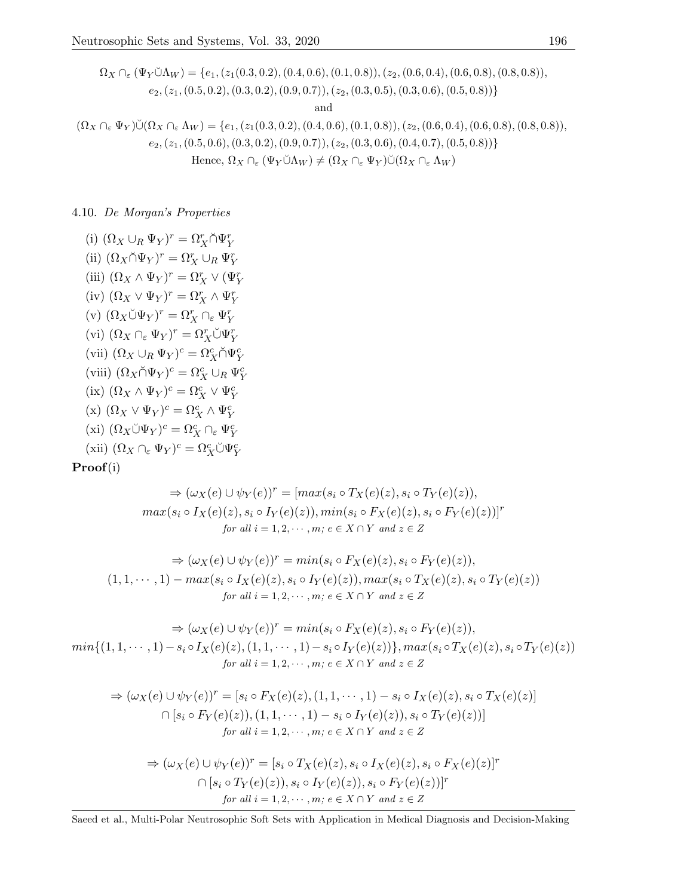$$
\Omega_X \cap_{\varepsilon} (\Psi_Y \breve{\cup} \Lambda_W) = \{e_1, (z_1(0.3, 0.2), (0.4, 0.6), (0.1, 0.8)), (z_2, (0.6, 0.4), (0.6, 0.8), (0.8, 0.8)),
$$
  
\n
$$
e_2, (z_1, (0.5, 0.2), (0.3, 0.2), (0.9, 0.7)), (z_2, (0.3, 0.5), (0.3, 0.6), (0.5, 0.8))\}
$$
  
\nand  
\n
$$
(\Omega_X \cap_{\varepsilon} \Psi_Y) \breve{\cup} (\Omega_X \cap_{\varepsilon} \Lambda_W) = \{e_1, (z_1(0.3, 0.2), (0.4, 0.6), (0.1, 0.8)), (z_2, (0.6, 0.4), (0.6, 0.8), (0.8, 0.8)),
$$
  
\n
$$
e_2, (z_1, (0.5, 0.6), (0.3, 0.2), (0.9, 0.7)), (z_2, (0.3, 0.6), (0.4, 0.7), (0.5, 0.8))\}
$$

Hence, 
$$
\Omega_X \cap_{\varepsilon} (\Psi_Y \check{\cup} \Lambda_W) \neq (\Omega_X \cap_{\varepsilon} \Psi_Y) \check{\cup} (\Omega_X \cap_{\varepsilon} \Lambda_W)
$$

4.10. De Morgan's Properties

(i)  $(\Omega_X \cup_R \Psi_Y)^r = \Omega_X^r \cap \Psi_Y^r$ (ii)  $(\Omega_X \cap \Psi_Y)^r = \Omega_X^r \cup_R \Psi_Y^r$ (iii)  $(\Omega_X \wedge \Psi_Y)^r = \Omega_X^r \vee (\Psi_Y^r)$ (iv)  $(\Omega_X \vee \Psi_Y)^r = \Omega_X^r \wedge \Psi_Y^r$ (v)  $(\Omega_X \check{\cup} \Psi_Y)^r = \Omega_X^r \cap_{\varepsilon} \Psi_Y^r$ (vi)  $(\Omega_X \cap_{\varepsilon} \Psi_Y)^r = \Omega_X^r \check{\cup} \Psi_Y^r$ (vii)  $(\Omega_X \cup_R \Psi_Y)^c = \Omega_X^c \cap \Psi_Y^c$ (viii)  $(\Omega_X \cap \Psi_Y)^c = \Omega_X^c \cup_R \Psi_Y^c$ (ix)  $(\Omega_X \wedge \Psi_Y)^c = \Omega_X^c \vee \Psi_Y^c$ (x)  $(\Omega_X \vee \Psi_Y)^c = \Omega_X^c \wedge \Psi_Y^c$ (xi)  $(\Omega_X \check{\cup} \Psi_Y)^c = \Omega_X^c \cap_{\varepsilon} \Psi_Y^c$ (xii)  $(\Omega_X \cap_{\varepsilon} \Psi_Y)^c = \Omega_X^c \check{\cup} \Psi_Y^c$ 

$$
\mathbf{Proof}(\mathrm{i})
$$

$$
\Rightarrow (\omega_X(e) \cup \psi_Y(e))^r = [max(s_i \circ T_X(e)(z), s_i \circ T_Y(e)(z)),
$$
  

$$
max(s_i \circ I_X(e)(z), s_i \circ I_Y(e)(z)), min(s_i \circ F_X(e)(z), s_i \circ F_Y(e)(z))]^r
$$
  
*for all i = 1, 2, \cdots, m; e \in X \cap Y and z \in Z*

$$
\Rightarrow (\omega_X(e) \cup \psi_Y(e))^r = \min(s_i \circ F_X(e)(z), s_i \circ F_Y(e)(z)),
$$
  
(1, 1,  $\cdots$ , 1) - \max(s\_i \circ I\_X(e)(z), s\_i \circ I\_Y(e)(z)), \max(s\_i \circ T\_X(e)(z), s\_i \circ T\_Y(e)(z))  
for all  $i = 1, 2, \cdots, m; e \in X \cap Y$  and  $z \in Z$ 

$$
\Rightarrow (\omega_X(e) \cup \psi_Y(e))^r = \min(s_i \circ F_X(e)(z), s_i \circ F_Y(e)(z)),
$$
  
\n
$$
\min\{(1, 1, \dots, 1) - s_i \circ I_X(e)(z), (1, 1, \dots, 1) - s_i \circ I_Y(e)(z)\}, \max(s_i \circ T_X(e)(z), s_i \circ T_Y(e)(z))
$$
  
\nfor all  $i = 1, 2, \dots, m; e \in X \cap Y$  and  $z \in Z$ 

$$
\Rightarrow (\omega_X(e) \cup \psi_Y(e))^r = [s_i \circ F_X(e)(z), (1, 1, \cdots, 1) - s_i \circ I_X(e)(z), s_i \circ T_X(e)(z)]
$$
  

$$
\cap [s_i \circ F_Y(e)(z)), (1, 1, \cdots, 1) - s_i \circ I_Y(e)(z)), s_i \circ T_Y(e)(z))]
$$
  
for all  $i = 1, 2, \cdots, m; e \in X \cap Y$  and  $z \in Z$ 

$$
\Rightarrow (\omega_X(e) \cup \psi_Y(e))^r = [s_i \circ T_X(e)(z), s_i \circ I_X(e)(z), s_i \circ F_X(e)(z)]^r
$$
  

$$
\cap [s_i \circ T_Y(e)(z)), s_i \circ I_Y(e)(z)), s_i \circ F_Y(e)(z))]^r
$$
  
for all  $i = 1, 2, \dots, m; e \in X \cap Y$  and  $z \in Z$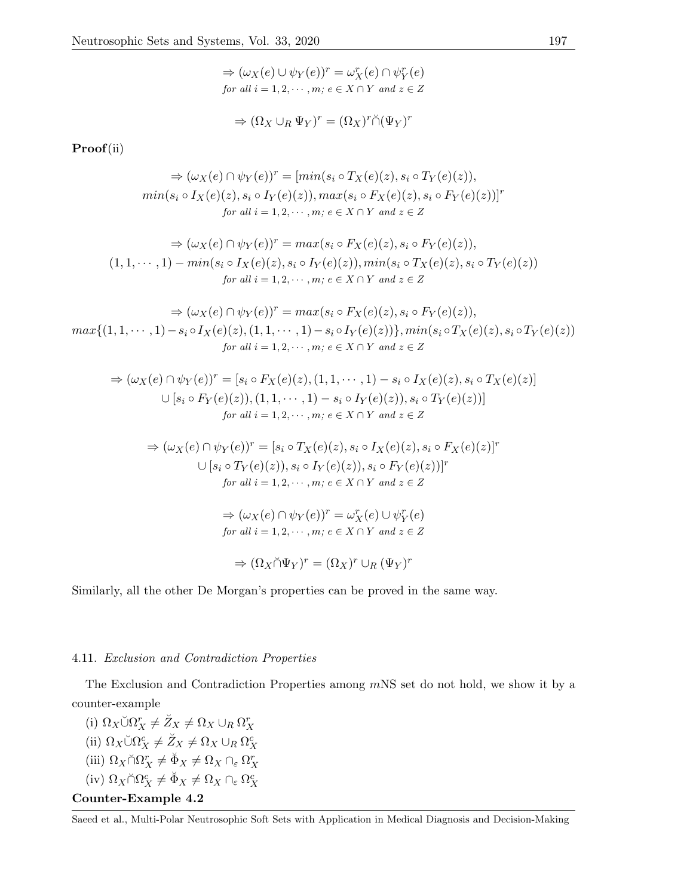$$
\Rightarrow (\omega_X(e) \cup \psi_Y(e))^r = \omega_X^r(e) \cap \psi_Y^r(e)
$$
  
for all  $i = 1, 2, \dots, m; e \in X \cap Y$  and  $z \in Z$ 

$$
\Rightarrow (\Omega_X \cup_R \Psi_Y)^r = (\Omega_X)^r \check{\cap} (\Psi_Y)^r
$$

Proof(ii)

$$
\Rightarrow (\omega_X(e) \cap \psi_Y(e))^r = [min(s_i \circ T_X(e)(z), s_i \circ T_Y(e)(z)),
$$
  
min(s<sub>i</sub> \circ I<sub>X</sub>(e)(z), s<sub>i</sub> \circ I<sub>Y</sub>(e)(z)), max(s<sub>i</sub> \circ F<sub>X</sub>(e)(z), s<sub>i</sub> \circ F<sub>Y</sub>(e)(z))]^r  
for all i = 1, 2, ..., m; e \in X \cap Y and z \in Z

$$
\Rightarrow (\omega_X(e) \cap \psi_Y(e))^r = \max(s_i \circ F_X(e)(z), s_i \circ F_Y(e)(z)),
$$
  
(1, 1,  $\cdots$ , 1) -  $\min(s_i \circ I_X(e)(z), s_i \circ I_Y(e)(z)), \min(s_i \circ T_X(e)(z), s_i \circ T_Y(e)(z))$   
for all  $i = 1, 2, \cdots, m; e \in X \cap Y$  and  $z \in Z$ 

 $\Rightarrow$   $(\omega_X(e) \cap \psi_Y(e))^r = max(s_i \circ F_X(e)(z), s_i \circ F_Y(e)(z)),$  $max\{(1, 1, \dots, 1) - s_i \circ I_X(e)(z), (1, 1, \dots, 1) - s_i \circ I_Y(e)(z)\}, min(s_i \circ T_X(e)(z), s_i \circ T_Y(e)(z))$ for all  $i = 1, 2, \cdots, m$ ;  $e \in X \cap Y$  and  $z \in Z$ 

$$
\Rightarrow (\omega_X(e) \cap \psi_Y(e))^r = [s_i \circ F_X(e)(z), (1, 1, \cdots, 1) - s_i \circ I_X(e)(z), s_i \circ T_X(e)(z)]
$$
  

$$
\cup [s_i \circ F_Y(e)(z)), (1, 1, \cdots, 1) - s_i \circ I_Y(e)(z)), s_i \circ T_Y(e)(z))]
$$
  
for all  $i = 1, 2, \cdots, m; e \in X \cap Y$  and  $z \in Z$ 

$$
\Rightarrow (\omega_X(e) \cap \psi_Y(e))^r = [s_i \circ T_X(e)(z), s_i \circ I_X(e)(z), s_i \circ F_X(e)(z)]^r
$$
  

$$
\cup [s_i \circ T_Y(e)(z)), s_i \circ I_Y(e)(z)), s_i \circ F_Y(e)(z))]^r
$$
  
for all  $i = 1, 2, \dots, m; e \in X \cap Y$  and  $z \in Z$ 

 $\Rightarrow (\omega_X(e) \cap \psi_Y(e))^r = \omega_X^r(e) \cup \psi_Y^r(e)$ for all  $i = 1, 2, \cdots, m$ ;  $e \in X \cap Y$  and  $z \in Z$ 

$$
\Rightarrow (\Omega_X \breve{\cap} \Psi_Y)^r = (\Omega_X)^r \cup_R (\Psi_Y)^r
$$

Similarly, all the other De Morgan's properties can be proved in the same way.

## 4.11. Exclusion and Contradiction Properties

The Exclusion and Contradiction Properties among mNS set do not hold, we show it by a counter-example

(i)  $\Omega_X \check{\cup} \Omega_X^r \neq \check{Z}_X \neq \Omega_X \cup_R \Omega_X^r$ (ii)  $\Omega_X \cup \Omega_X^c \neq \check{Z}_X \neq \Omega_X \cup_R \Omega_X^c$ (iii)  $\Omega_X \cap \Omega_X^r \neq \breve{\Phi}_X \neq \Omega_X \cap_{\varepsilon} \Omega_X^r$ (iv)  $\Omega_X \breve{\cap} \Omega_X^c \neq \breve{\Phi}_X \neq \Omega_X \cap_{\varepsilon} \Omega_X^c$ Counter-Example 4.2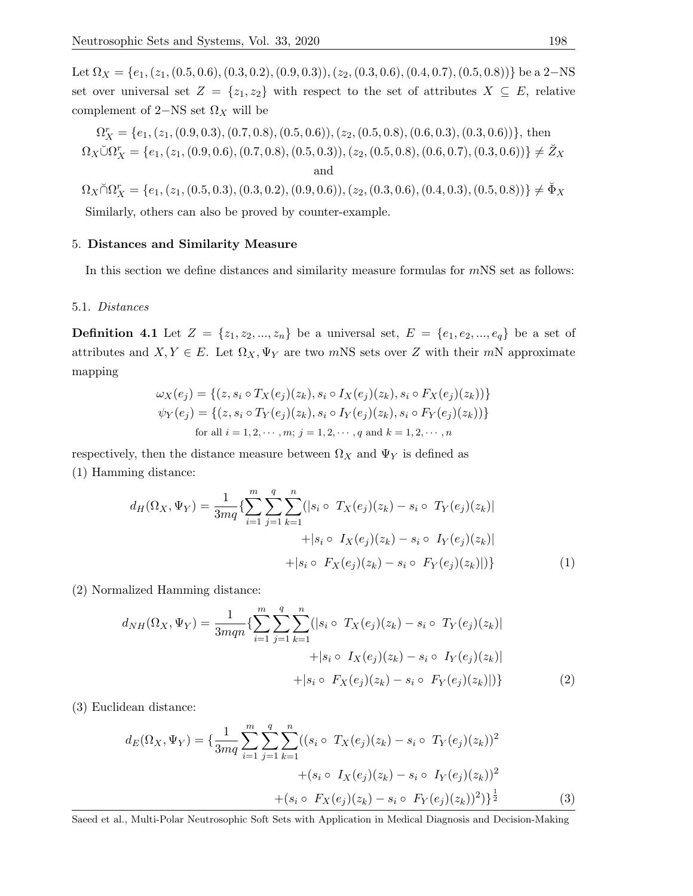Let  $\Omega_X = \{e_1, (z_1, (0.5, 0.6), (0.3, 0.2), (0.9, 0.3)), (z_2, (0.3, 0.6), (0.4, 0.7), (0.5, 0.8))\}$  be a 2-NS set over universal set  $Z = \{z_1, z_2\}$  with respect to the set of attributes  $X \subseteq E$ , relative complement of 2–NS set  $\Omega_X$  will be

 $\Omega_X^r = \{e_1, (z_1, (0.9, 0.3), (0.7, 0.8), (0.5, 0.6)), (z_2, (0.5, 0.8), (0.6, 0.3), (0.3, 0.6))\},\$ then  $\Omega_X \breve{\cup} \Omega_X^r = \{e_1, (z_1, (0.9, 0.6), (0.7, 0.8), (0.5, 0.3)), (z_2, (0.5, 0.8), (0.6, 0.7), (0.3, 0.6))\} \neq \breve{Z}_X$ and

 $\Omega_X \breve{\cap} \Omega_X^r = \{e_1, (z_1, (0.5, 0.3), (0.3, 0.2), (0.9, 0.6)), (z_2, (0.3, 0.6), (0.4, 0.3), (0.5, 0.8))\} \neq \breve{\Phi}_X$ Similarly, others can also be proved by counter-example.

#### 5. Distances and Similarity Measure

In this section we define distances and similarity measure formulas for  $mNS$  set as follows:

#### 5.1. Distances

**Definition 4.1** Let  $Z = \{z_1, z_2, ..., z_n\}$  be a universal set,  $E = \{e_1, e_2, ..., e_q\}$  be a set of attributes and  $X, Y \in E$ . Let  $\Omega_X, \Psi_Y$  are two mNS sets over Z with their mN approximate mapping

$$
\omega_X(e_j) = \{(z, s_i \circ T_X(e_j)(z_k), s_i \circ I_X(e_j)(z_k), s_i \circ F_X(e_j)(z_k))\}
$$
  

$$
\psi_Y(e_j) = \{(z, s_i \circ T_Y(e_j)(z_k), s_i \circ I_Y(e_j)(z_k), s_i \circ F_Y(e_j)(z_k))\}
$$
  
for all  $i = 1, 2, \dots, m; j = 1, 2, \dots, q$  and  $k = 1, 2, \dots, n$ 

respectively, then the distance measure between  $\Omega_X$  and  $\Psi_Y$  is defined as (1) Hamming distance:

$$
d_H(\Omega_X, \Psi_Y) = \frac{1}{3mq} \{ \sum_{i=1}^m \sum_{j=1}^q \sum_{k=1}^n (|s_i \circ T_X(e_j)(z_k) - s_i \circ T_Y(e_j)(z_k)| + |s_i \circ I_X(e_j)(z_k) - s_i \circ I_Y(e_j)(z_k)| + |s_i \circ F_X(e_j)(z_k) - s_i \circ F_Y(e_j)(z_k)|) \} \tag{1}
$$

(2) Normalized Hamming distance:

$$
d_{NH}(\Omega_X, \Psi_Y) = \frac{1}{3mqn} \{ \sum_{i=1}^m \sum_{j=1}^q \sum_{k=1}^n (|s_i \circ T_X(e_j)(z_k) - s_i \circ T_Y(e_j)(z_k)| + |s_i \circ I_X(e_j)(z_k) - s_i \circ I_Y(e_j)(z_k)| + |s_i \circ F_X(e_j)(z_k) - s_i \circ F_Y(e_j)(z_k)|) \}
$$
(2)

(3) Euclidean distance:

$$
d_E(\Omega_X, \Psi_Y) = \left\{ \frac{1}{3mq} \sum_{i=1}^m \sum_{j=1}^q \sum_{k=1}^n ((s_i \circ T_X(e_j)(z_k) - s_i \circ T_Y(e_j)(z_k))^2 + (s_i \circ I_X(e_j)(z_k) - s_i \circ T_Y(e_j)(z_k))^2 + (s_i \circ F_X(e_j)(z_k) - s_i \circ F_Y(e_j)(z_k))^2) \right\}^{\frac{1}{2}}
$$
(3)

Saeed et al., Multi-Polar Neutrosophic Soft Sets with Application in Medical Diagnosis and Decision-Making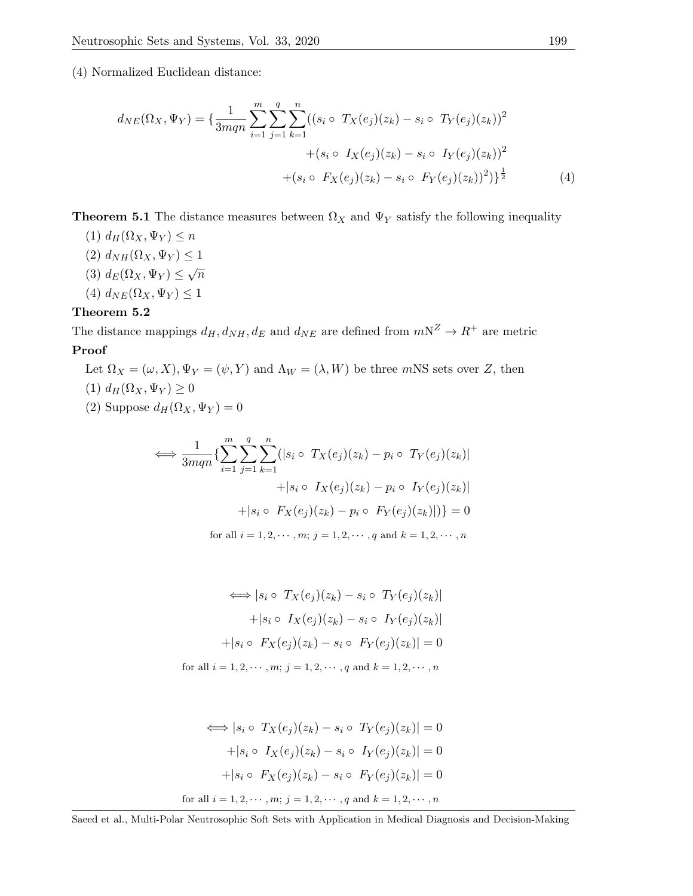(4) Normalized Euclidean distance:

$$
d_{NE}(\Omega_X, \Psi_Y) = \left\{ \frac{1}{3mqn} \sum_{i=1}^m \sum_{j=1}^q \sum_{k=1}^n ((s_i \circ T_X(e_j)(z_k) - s_i \circ T_Y(e_j)(z_k))^2 + (s_i \circ I_X(e_j)(z_k) - s_i \circ T_Y(e_j)(z_k))^2 + (s_i \circ F_X(e_j)(z_k) - s_i \circ F_Y(e_j)(z_k))^2) \right\}^{\frac{1}{2}}
$$
(4)

**Theorem 5.1** The distance measures between  $\Omega_X$  and  $\Psi_Y$  satisfy the following inequality

- (1)  $d_H(\Omega_X, \Psi_Y) \leq n$ (2)  $d_{NH}(\Omega_X, \Psi_Y) \leq 1$ (3)  $d_E(\Omega_X, \Psi_Y) \leq \sqrt{n}$
- (4)  $d_{NE}(\Omega_X, \Psi_Y) \leq 1$

# Theorem 5.2

The distance mappings  $d_H, d_{NH}, d_E$  and  $d_{NE}$  are defined from  $mN^Z \rightarrow R^+$  are metric Proof

- Let  $\Omega_X = (\omega, X), \Psi_Y = (\psi, Y)$  and  $\Lambda_W = (\lambda, W)$  be three mNS sets over Z, then (1)  $d_H(\Omega_X, \Psi_Y) \geq 0$
- (2) Suppose  $d_H(\Omega_X, \Psi_Y) = 0$

$$
\iff \frac{1}{3mqn} \{ \sum_{i=1}^{m} \sum_{j=1}^{q} \sum_{k=1}^{n} (|s_i \circ T_X(e_j)(z_k) - p_i \circ T_Y(e_j)(z_k)| + |s_i \circ I_X(e_j)(z_k) - p_i \circ I_Y(e_j)(z_k)| + |s_i \circ F_X(e_j)(z_k) - p_i \circ F_Y(e_j)(z_k)|) \} = 0
$$
\nfor all  $i = 1, 2, \dots, m; j = 1, 2, \dots, q$  and  $k = 1, 2, \dots, n$ 

$$
\iff |s_i \circ T_X(e_j)(z_k) - s_i \circ T_Y(e_j)(z_k)|
$$

$$
+ |s_i \circ I_X(e_j)(z_k) - s_i \circ I_Y(e_j)(z_k)|
$$

$$
+ |s_i \circ F_X(e_j)(z_k) - s_i \circ F_Y(e_j)(z_k)| = 0
$$
for all  $i = 1, 2, \dots, m; j = 1, 2, \dots, q$  and  $k = 1, 2, \dots, n$ 

$$
\iff |s_i \circ T_X(e_j)(z_k) - s_i \circ T_Y(e_j)(z_k)| = 0
$$

$$
+ |s_i \circ I_X(e_j)(z_k) - s_i \circ I_Y(e_j)(z_k)| = 0
$$

$$
+ |s_i \circ F_X(e_j)(z_k) - s_i \circ F_Y(e_j)(z_k)| = 0
$$
for all  $i = 1, 2, \dots, m; j = 1, 2, \dots, q$  and  $k = 1, 2, \dots, n$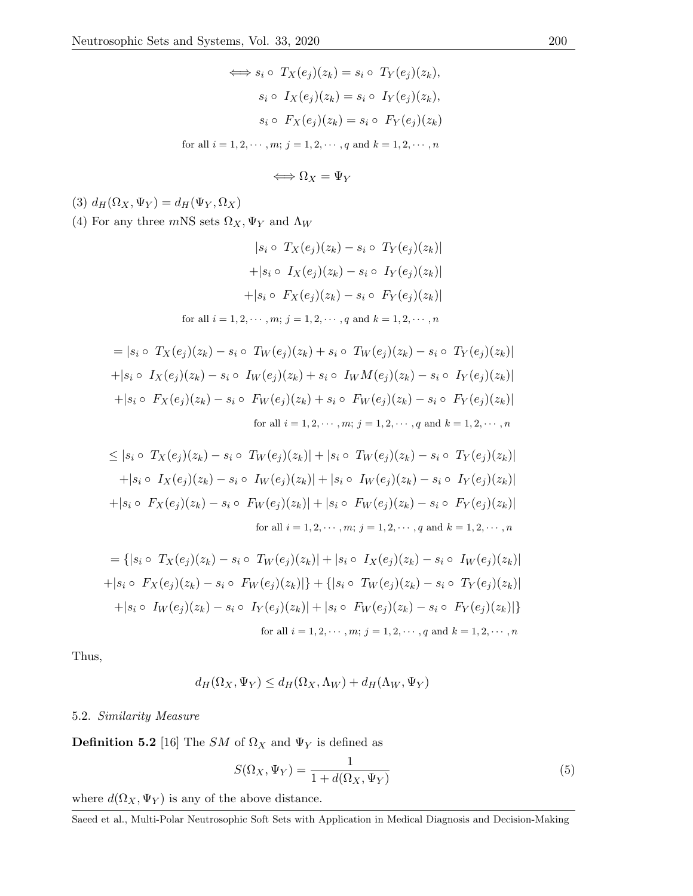$$
\iff s_i \circ T_X(e_j)(z_k) = s_i \circ T_Y(e_j)(z_k),
$$

$$
s_i \circ I_X(e_j)(z_k) = s_i \circ I_Y(e_j)(z_k),
$$

$$
s_i \circ F_X(e_j)(z_k) = s_i \circ F_Y(e_j)(z_k)
$$
for all  $i = 1, 2, \dots, m; j = 1, 2, \dots, q$  and  $k = 1, 2, \dots, n$ 

$$
\Longleftrightarrow \Omega_X = \Psi_Y
$$

(3)  $d_H(\Omega_X, \Psi_Y) = d_H(\Psi_Y, \Omega_X)$ 

(4) For any three  $m{\rm NS}$  sets  $\Omega_X, \Psi_Y$  and  $\Lambda_W$ 

$$
|s_i \circ T_X(e_j)(z_k) - s_i \circ T_Y(e_j)(z_k)|
$$

$$
+ |s_i \circ I_X(e_j)(z_k) - s_i \circ I_Y(e_j)(z_k)|
$$

$$
+ |s_i \circ F_X(e_j)(z_k) - s_i \circ F_Y(e_j)(z_k)|
$$
  
for all  $i = 1, 2, \dots, m; j = 1, 2, \dots, q$  and  $k = 1, 2, \dots, n$ 

$$
= |s_i \circ T_X(e_j)(z_k) - s_i \circ T_W(e_j)(z_k) + s_i \circ T_W(e_j)(z_k) - s_i \circ T_Y(e_j)(z_k)|
$$
  
+|s\_i \circ I\_X(e\_j)(z\_k) - s\_i \circ I\_W(e\_j)(z\_k) + s\_i \circ I\_WM(e\_j)(z\_k) - s\_i \circ I\_Y(e\_j)(z\_k)|  
+|s\_i \circ F\_X(e\_j)(z\_k) - s\_i \circ F\_W(e\_j)(z\_k) + s\_i \circ F\_W(e\_j)(z\_k) - s\_i \circ F\_Y(e\_j)(z\_k)|  
for all  $i = 1, 2, \dots, m; j = 1, 2, \dots, q$  and  $k = 1, 2, \dots, n$ 

$$
\leq |s_i \circ T_X(e_j)(z_k) - s_i \circ T_W(e_j)(z_k)| + |s_i \circ T_W(e_j)(z_k) - s_i \circ T_Y(e_j)(z_k)|
$$
  
+|s\_i \circ I\_X(e\_j)(z\_k) - s\_i \circ I\_W(e\_j)(z\_k)| + |s\_i \circ I\_W(e\_j)(z\_k) - s\_i \circ I\_Y(e\_j)(z\_k)|  
+|s\_i \circ F\_X(e\_j)(z\_k) - s\_i \circ F\_W(e\_j)(z\_k)| + |s\_i \circ F\_W(e\_j)(z\_k) - s\_i \circ F\_Y(e\_j)(z\_k)|  
for all  $i = 1, 2, \dots, m; j = 1, 2, \dots, q$  and  $k = 1, 2, \dots, n$ 

$$
= \{|s_i \circ T_X(e_j)(z_k) - s_i \circ T_W(e_j)(z_k)| + |s_i \circ T_X(e_j)(z_k) - s_i \circ T_W(e_j)(z_k)|
$$
  
+|s\_i \circ F\_X(e\_j)(z\_k) - s\_i \circ F\_W(e\_j)(z\_k)|\} + \{|s\_i \circ T\_W(e\_j)(z\_k) - s\_i \circ T\_Y(e\_j)(z\_k)|  
+|s\_i \circ I\_W(e\_j)(z\_k) - s\_i \circ T\_Y(e\_j)(z\_k)| + |s\_i \circ F\_W(e\_j)(z\_k) - s\_i \circ F\_Y(e\_j)(z\_k)|\}  
for all  $i = 1, 2, \dots, m; j = 1, 2, \dots, q$  and  $k = 1, 2, \dots, n$ 

Thus,

$$
d_H(\Omega_X, \Psi_Y) \le d_H(\Omega_X, \Lambda_W) + d_H(\Lambda_W, \Psi_Y)
$$

# 5.2. Similarity Measure

**Definition 5.2** [16] The SM of  $\Omega_X$  and  $\Psi_Y$  is defined as

$$
S(\Omega_X, \Psi_Y) = \frac{1}{1 + d(\Omega_X, \Psi_Y)}\tag{5}
$$

where  $d(\Omega_X, \Psi_Y)$  is any of the above distance.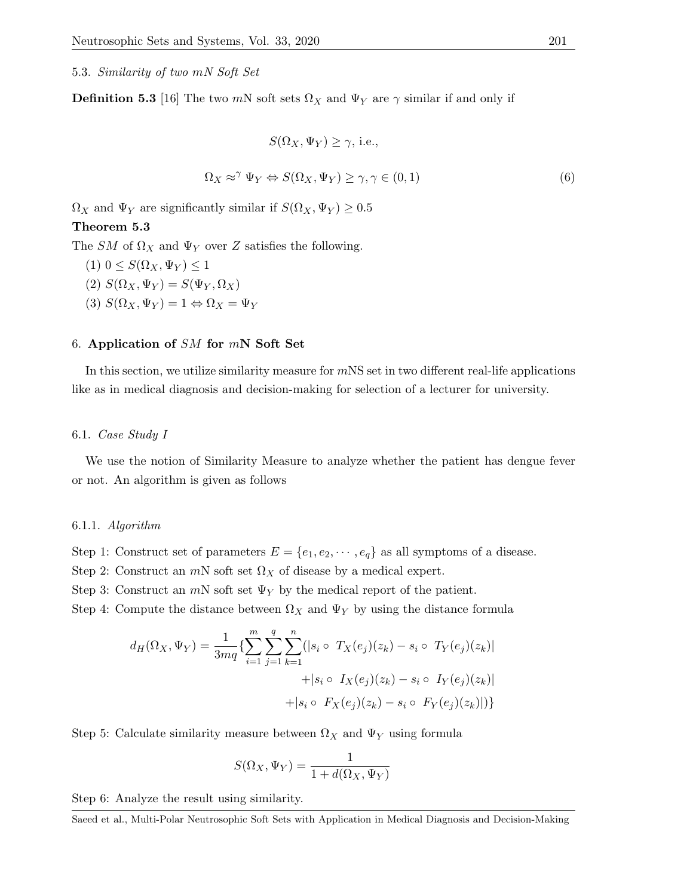5.3. Similarity of two mN Soft Set

**Definition 5.3** [16] The two mN soft sets  $\Omega_X$  and  $\Psi_Y$  are  $\gamma$  similar if and only if

$$
S(\Omega_X, \Psi_Y) \ge \gamma, \text{ i.e.,}
$$
  

$$
\Omega_X \approx^{\gamma} \Psi_Y \Leftrightarrow S(\Omega_X, \Psi_Y) \ge \gamma, \gamma \in (0, 1)
$$
 (6)

 $\Omega_X$  and  $\Psi_Y$  are significantly similar if  $S(\Omega_X, \Psi_Y) \geq 0.5$ Theorem 5.3

The SM of  $\Omega_X$  and  $\Psi_Y$  over Z satisfies the following.

- $(1)$   $0 \leq S(\Omega_X, \Psi_Y) \leq 1$ (2)  $S(\Omega_X, \Psi_Y) = S(\Psi_Y, \Omega_X)$
- (3)  $S(\Omega_X, \Psi_Y) = 1 \Leftrightarrow \Omega_X = \Psi_Y$

# 6. Application of  $SM$  for  $mN$  Soft Set

In this section, we utilize similarity measure for  $mNS$  set in two different real-life applications like as in medical diagnosis and decision-making for selection of a lecturer for university.

### 6.1. Case Study I

We use the notion of Similarity Measure to analyze whether the patient has dengue fever or not. An algorithm is given as follows

### 6.1.1. Algorithm

Step 1: Construct set of parameters  $E = \{e_1, e_2, \dots, e_q\}$  as all symptoms of a disease.

Step 2: Construct an  $mN$  soft set  $\Omega_X$  of disease by a medical expert.

Step 3: Construct an  $mN$  soft set  $\Psi_Y$  by the medical report of the patient.

Step 4: Compute the distance between  $\Omega_X$  and  $\Psi_Y$  by using the distance formula

$$
d_H(\Omega_X, \Psi_Y) = \frac{1}{3mq} \{ \sum_{i=1}^m \sum_{j=1}^q \sum_{k=1}^n (|s_i \circ T_X(e_j)(z_k) - s_i \circ T_Y(e_j)(z_k)| + |s_i \circ I_X(e_j)(z_k) - s_i \circ I_Y(e_j)(z_k)| + |s_i \circ F_X(e_j)(z_k) - s_i \circ F_Y(e_j)(z_k)|) \}
$$

Step 5: Calculate similarity measure between  $\Omega_X$  and  $\Psi_Y$  using formula

$$
S(\Omega_X, \Psi_Y) = \frac{1}{1 + d(\Omega_X, \Psi_Y)}
$$

Step 6: Analyze the result using similarity.

Saeed et al., Multi-Polar Neutrosophic Soft Sets with Application in Medical Diagnosis and Decision-Making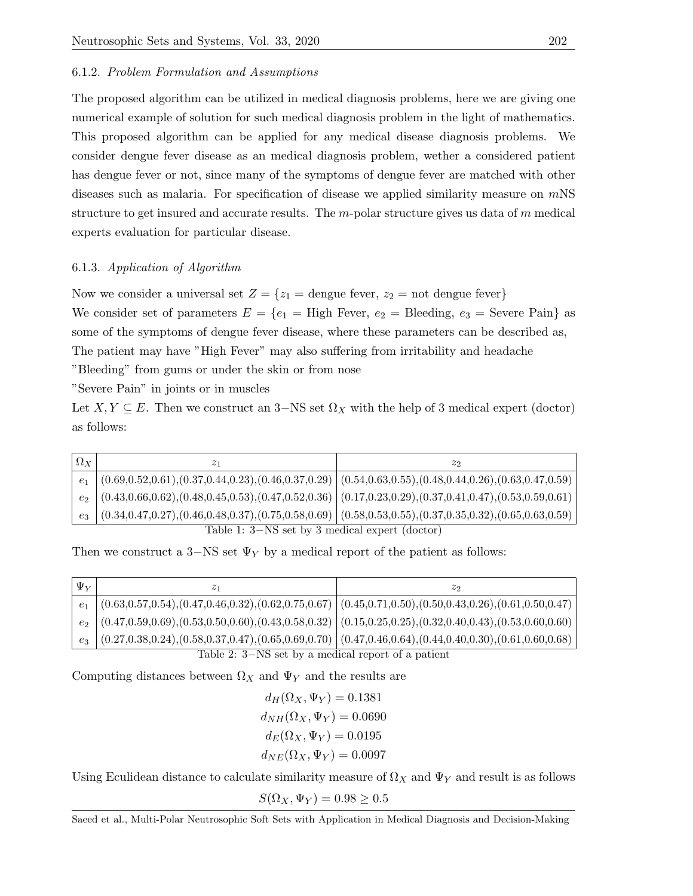### 6.1.2. Problem Formulation and Assumptions

The proposed algorithm can be utilized in medical diagnosis problems, here we are giving one numerical example of solution for such medical diagnosis problem in the light of mathematics. This proposed algorithm can be applied for any medical disease diagnosis problems. We consider dengue fever disease as an medical diagnosis problem, wether a considered patient has dengue fever or not, since many of the symptoms of dengue fever are matched with other diseases such as malaria. For specification of disease we applied similarity measure on  $mNS$ structure to get insured and accurate results. The  $m$ -polar structure gives us data of  $m$  medical experts evaluation for particular disease.

## 6.1.3. Application of Algorithm

Now we consider a universal set  $Z = \{z_1 = \text{degree fewer}, z_2 = \text{not } \text{degree fewer}\}\$ 

We consider set of parameters  $E = \{e_1 = H \text{igh Fever}, e_2 = B \text{leeding}, e_3 = S \text{ever} \text{ Pain}\}$  as some of the symptoms of dengue fever disease, where these parameters can be described as, The patient may have "High Fever" may also suffering from irritability and headache "Bleeding" from gums or under the skin or from nose

"Severe Pain" in joints or in muscles

Let  $X, Y \subseteq E$ . Then we construct an 3–NS set  $\Omega_X$  with the help of 3 medical expert (doctor) as follows:

| $\Omega_X$                                                                                                                                                                                                 |                                                                                                                                          | 22 |
|------------------------------------------------------------------------------------------------------------------------------------------------------------------------------------------------------------|------------------------------------------------------------------------------------------------------------------------------------------|----|
| e <sub>1</sub>                                                                                                                                                                                             | $\left( (0.69, 0.52, 0.61), (0.37, 0.44, 0.23), (0.46, 0.37, 0.29) \right)$ $(0.54, 0.63, 0.55), (0.48, 0.44, 0.26), (0.63, 0.47, 0.59)$ |    |
|                                                                                                                                                                                                            | $e_2$ (0.43,0.66,0.62),(0.48,0.45,0.53),(0.47,0.52,0.36) (0.17,0.23,0.29),(0.37,0.41,0.47),(0.53,0.59,0.61)                              |    |
| $\left(0.34, 0.47, 0.27\right), \left(0.46, 0.48, 0.37\right), \left(0.75, 0.58, 0.69\right) \left(0.58, 0.53, 0.55\right), \left(0.37, 0.35, 0.32\right), \left(0.65, 0.63, 0.59\right) \right)$<br>$e_3$ |                                                                                                                                          |    |
| Table 1: 3–NS set by 3 medical expert (doctor)                                                                                                                                                             |                                                                                                                                          |    |

Then we construct a 3–NS set  $\Psi_Y$  by a medical report of the patient as follows:

| $\Psi_V$                                           |                                                                                                                                                                                           | zə |
|----------------------------------------------------|-------------------------------------------------------------------------------------------------------------------------------------------------------------------------------------------|----|
| e <sub>1</sub>                                     | $\vert$ (0.63,0.57,0.54),(0.47,0.46,0.32),(0.62,0.75,0.67) $\vert$ (0.45,0.71,0.50),(0.50,0.43,0.26),(0.61,0.50,0.47) $\vert$                                                             |    |
|                                                    | $e_2$ $(0.47, 0.59, 0.69), (0.53, 0.50, 0.60), (0.43, 0.58, 0.32)$ $(0.15, 0.25, 0.25), (0.32, 0.40, 0.43), (0.53, 0.60, 0.60)$                                                           |    |
|                                                    | $\left(0.27, 0.38, 0.24\right), \left(0.58, 0.37, 0.47\right), \left(0.65, 0.69, 0.70\right) \left(0.47, 0.46, 0.64\right), \left(0.44, 0.40, 0.30\right), \left(0.61, 0.60, 0.68\right)$ |    |
| Table 2: 3–NS set by a medical report of a patient |                                                                                                                                                                                           |    |

Computing distances between  $\Omega_X$  and  $\Psi_Y$  and the results are

$$
d_H(\Omega_X, \Psi_Y) = 0.1381
$$
  

$$
d_{NH}(\Omega_X, \Psi_Y) = 0.0690
$$
  

$$
d_E(\Omega_X, \Psi_Y) = 0.0195
$$
  

$$
d_{NE}(\Omega_X, \Psi_Y) = 0.0097
$$

Using Eculidean distance to calculate similarity measure of  $\Omega_X$  and  $\Psi_Y$  and result is as follows

 $S(\Omega_X, \Psi_Y) = 0.98 \geq 0.5$ 

Saeed et al., Multi-Polar Neutrosophic Soft Sets with Application in Medical Diagnosis and Decision-Making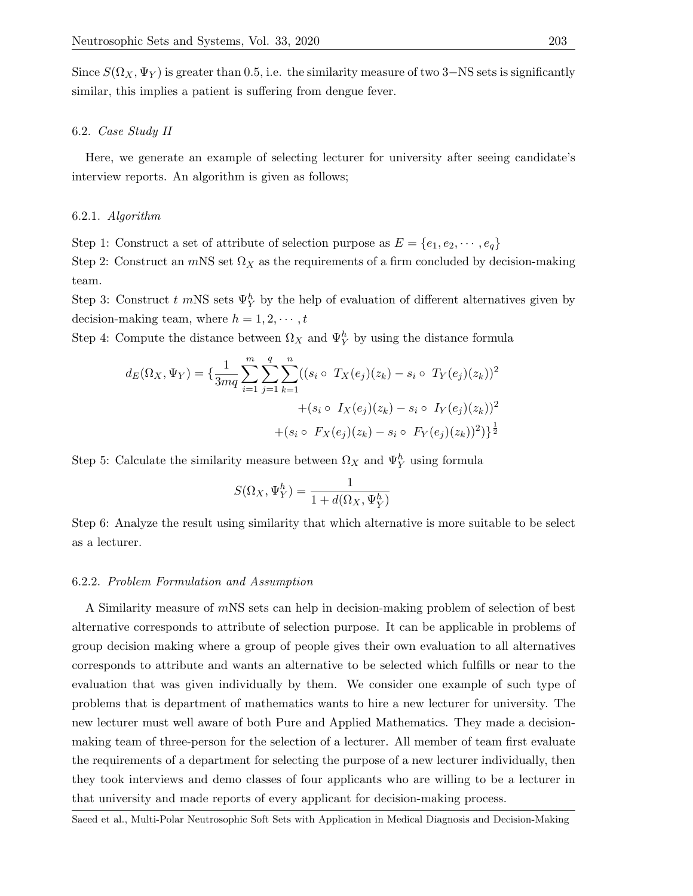Since  $S(\Omega_X, \Psi_Y)$  is greater than 0.5, i.e. the similarity measure of two 3–NS sets is significantly similar, this implies a patient is suffering from dengue fever.

# 6.2. Case Study II

Here, we generate an example of selecting lecturer for university after seeing candidate's interview reports. An algorithm is given as follows;

## 6.2.1. Algorithm

Step 1: Construct a set of attribute of selection purpose as  $E = \{e_1, e_2, \dots, e_q\}$ 

Step 2: Construct an  $mNS$  set  $\Omega_X$  as the requirements of a firm concluded by decision-making team.

Step 3: Construct  $t$  mNS sets  $\Psi_Y^h$  by the help of evaluation of different alternatives given by decision-making team, where  $h = 1, 2, \dots, t$ 

Step 4: Compute the distance between  $\Omega_X$  and  $\Psi_Y^h$  by using the distance formula

$$
d_E(\Omega_X, \Psi_Y) = \{ \frac{1}{3mq} \sum_{i=1}^m \sum_{j=1}^q \sum_{k=1}^n ((s_i \circ T_X(e_j)(z_k) - s_i \circ T_Y(e_j)(z_k))^2 + (s_i \circ I_X(e_j)(z_k) - s_i \circ T_Y(e_j)(z_k))^2 + (s_i \circ F_X(e_j)(z_k) - s_i \circ F_Y(e_j)(z_k))^2) \}^{\frac{1}{2}}
$$

Step 5: Calculate the similarity measure between  $\Omega_X$  and  $\Psi_Y^h$  using formula

$$
S(\Omega_X,\Psi_Y^h)=\frac{1}{1+d(\Omega_X,\Psi_Y^h)}
$$

Step 6: Analyze the result using similarity that which alternative is more suitable to be select as a lecturer.

## 6.2.2. Problem Formulation and Assumption

A Similarity measure of mNS sets can help in decision-making problem of selection of best alternative corresponds to attribute of selection purpose. It can be applicable in problems of group decision making where a group of people gives their own evaluation to all alternatives corresponds to attribute and wants an alternative to be selected which fulfills or near to the evaluation that was given individually by them. We consider one example of such type of problems that is department of mathematics wants to hire a new lecturer for university. The new lecturer must well aware of both Pure and Applied Mathematics. They made a decisionmaking team of three-person for the selection of a lecturer. All member of team first evaluate the requirements of a department for selecting the purpose of a new lecturer individually, then they took interviews and demo classes of four applicants who are willing to be a lecturer in that university and made reports of every applicant for decision-making process.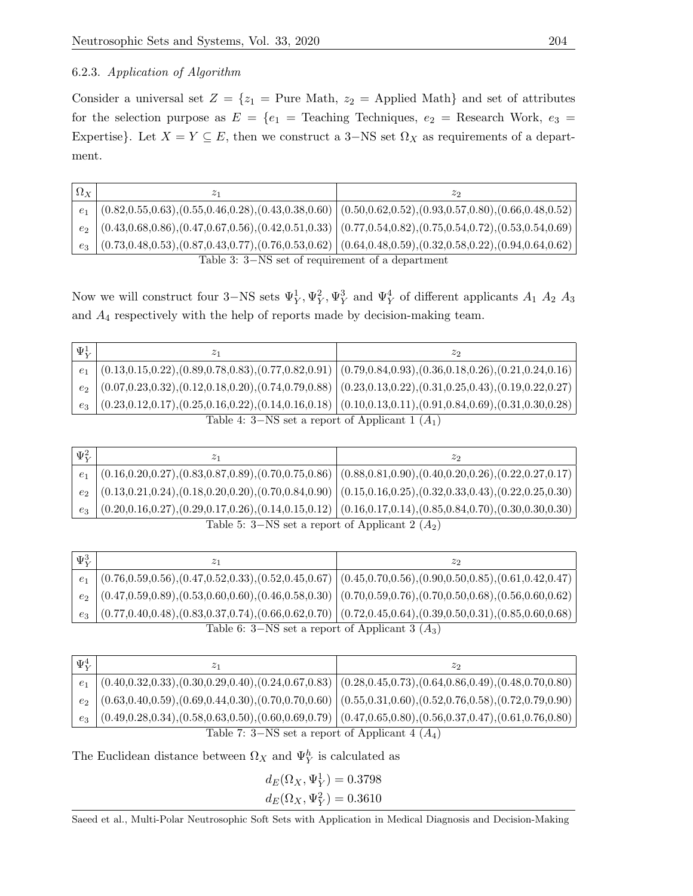# 6.2.3. Application of Algorithm

Consider a universal set  $Z = \{z_1 =$  Pure Math,  $z_2 =$  Applied Math} and set of attributes for the selection purpose as  $E = \{e_1 =$  Teaching Techniques,  $e_2 =$  Research Work,  $e_3 =$ Expertise}. Let  $X = Y \subseteq E$ , then we construct a 3–NS set  $\Omega_X$  as requirements of a department.

| $\Omega_X$                                       |                                                                                                                                                                                                                                                            | $\mathcal{Z}$ |
|--------------------------------------------------|------------------------------------------------------------------------------------------------------------------------------------------------------------------------------------------------------------------------------------------------------------|---------------|
|                                                  | $e_1$ $(0.82, 0.55, 0.63), (0.55, 0.46, 0.28), (0.43, 0.38, 0.60)$ $(0.50, 0.62, 0.52), (0.93, 0.57, 0.80), (0.66, 0.48, 0.52)$                                                                                                                            |               |
|                                                  | $e_2$   $(0.43, 0.68, 0.86), (0.47, 0.67, 0.56), (0.42, 0.51, 0.33)$   $(0.77, 0.54, 0.82), (0.75, 0.54, 0.72), (0.53, 0.54, 0.69)$                                                                                                                        |               |
|                                                  | $e_3 \mid (0.73, 0.48, 0.53), (0.87, 0.43, 0.77), (0.76, 0.53, 0.62) \mid (0.64, 0.48, 0.59), (0.32, 0.58, 0.22), (0.94, 0.64, 0.62) \mid (0.64, 0.48, 0.69, 0.62, 0.64, 0.65) \mid (0.64, 0.48, 0.69, 0.62, 0.64, 0.65, 0.67, 0.68, 0.69) \mid (0.64, 0.$ |               |
| Table 3: 3–NS set of requirement of a department |                                                                                                                                                                                                                                                            |               |

Now we will construct four 3–NS sets  $\Psi_Y^1, \Psi_Y^2, \Psi_Y^3$  and  $\Psi_Y^4$  of different applicants  $A_1$   $A_2$   $A_3$ and  $A_4$  respectively with the help of reports made by decision-making team.

| $e_1$ $(0.13, 0.15, 0.22), (0.89, 0.78, 0.83), (0.77, 0.82, 0.91)$ $(0.79, 0.84, 0.93), (0.36, 0.18, 0.26), (0.21, 0.24, 0.16)$                                                                                                                                |  |
|----------------------------------------------------------------------------------------------------------------------------------------------------------------------------------------------------------------------------------------------------------------|--|
|                                                                                                                                                                                                                                                                |  |
| $e_2$ $(0.07, 0.23, 0.32), (0.12, 0.18, 0.20), (0.74, 0.79, 0.88)$ $(0.23, 0.13, 0.22), (0.31, 0.25, 0.43), (0.19, 0.22, 0.27)$                                                                                                                                |  |
| $e_3 \mid (0.23, 0.12, 0.17), (0.25, 0.16, 0.22), (0.14, 0.16, 0.18) \mid (0.10, 0.13, 0.11), (0.91, 0.84, 0.69), (0.31, 0.30, 0.28) \mid (0.10, 0.13, 0.11), (0.91, 0.84, 0.69), (0.31, 0.30, 0.28) \mid (0.10, 0.13, 0.11), (0.91, 0.84, 0.69), (0.31, 0.30$ |  |

Table 4:  $3-NS$  set a report of Applicant 1  $(A_1)$ 

| $\Psi^2_V$                                        |  | z٥                                                                                                                         |
|---------------------------------------------------|--|----------------------------------------------------------------------------------------------------------------------------|
| e <sub>1</sub>                                    |  | $\mid$ (0.16,0.20,0.27),(0.83,0.87,0.89),(0.70,0.75,0.86) $\mid$ (0.88,0.81,0.90),(0.40,0.20,0.26),(0.22,0.27,0.17) $\mid$ |
|                                                   |  | $e_2$ (0.13,0.21,0.24),(0.18,0.20,0.20),(0.70,0.84,0.90) (0.15,0.16,0.25),(0.32,0.33,0.43),(0.22,0.25,0.30)                |
| $e_3$                                             |  | $(0.20, 0.16, 0.27), (0.29, 0.17, 0.26), (0.14, 0.15, 0.12)$ $(0.16, 0.17, 0.14), (0.85, 0.84, 0.70), (0.30, 0.30, 0.30)$  |
| Table 5: 3–NS set a report of Applicant 2 $(A_2)$ |  |                                                                                                                            |

| $\Psi^3_V$                                        |                                                                                                                                       | zo |
|---------------------------------------------------|---------------------------------------------------------------------------------------------------------------------------------------|----|
|                                                   | $e_1$ $(0.76, 0.59, 0.56), (0.47, 0.52, 0.33), (0.52, 0.45, 0.67)$ $(0.45, 0.70, 0.56), (0.90, 0.50, 0.85), (0.61, 0.42, 0.47)$       |    |
|                                                   | $e_2$ $(0.47, 0.59, 0.89), (0.53, 0.60, 0.60), (0.46, 0.58, 0.30)$ $(0.70, 0.59, 0.76), (0.70, 0.50, 0.68), (0.56, 0.60, 0.62)$       |    |
|                                                   | $e_3 \mid (0.77, 0.40, 0.48), (0.83, 0.37, 0.74), (0.66, 0.62, 0.70) \mid (0.72, 0.45, 0.64), (0.39, 0.50, 0.31), (0.85, 0.60, 0.68)$ |    |
| Table 6: 3–NS set a report of Applicant 3 $(A_3)$ |                                                                                                                                       |    |

| $\Psi^4_{\rm\scriptscriptstyle V}$                                                                                                 |                                                                                                                           | 22 |
|------------------------------------------------------------------------------------------------------------------------------------|---------------------------------------------------------------------------------------------------------------------------|----|
| e <sub>1</sub>                                                                                                                     | $(0.40, 0.32, 0.33), (0.30, 0.29, 0.40), (0.24, 0.67, 0.83)   (0.28, 0.45, 0.73), (0.64, 0.86, 0.49), (0.48, 0.70, 0.80)$ |    |
| e <sub>2</sub>                                                                                                                     | $\mid$ (0.63,0.40,0.59), (0.69,0.44,0.30), (0.70,0.70,0.60) $\mid$ (0.55,0.31,0.60), (0.52,0.76,0.58), (0.72,0.79,0.90)   |    |
| $(0.49, 0.28, 0.34), (0.58, 0.63, 0.50), (0.60, 0.69, 0.79)$ $(0.47, 0.65, 0.80), (0.56, 0.37, 0.47), (0.61, 0.76, 0.80)$<br>$e_3$ |                                                                                                                           |    |
| Table 7: 3–NS set a report of Applicant 4 $(A_4)$                                                                                  |                                                                                                                           |    |

The Euclidean distance between  $\Omega_X$  and  $\Psi_Y^h$  is calculated as

 $d_E(\Omega_X, \Psi_Y^1) = 0.3798$  $d_E(\Omega_X, \Psi_Y^2) = 0.3610$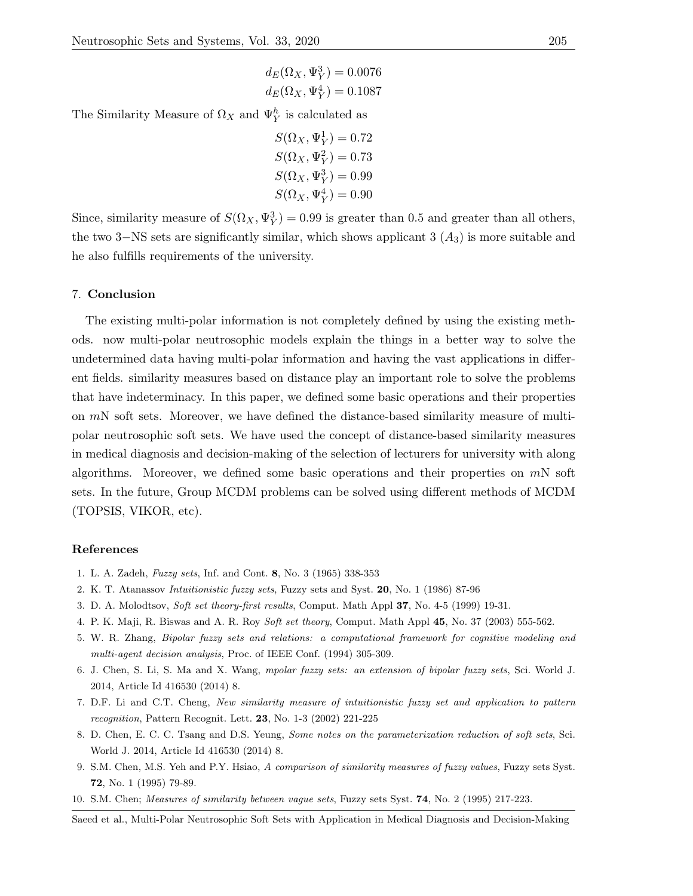$$
d_E(\Omega_X, \Psi_Y^3) = 0.0076
$$
  

$$
d_E(\Omega_X, \Psi_Y^4) = 0.1087
$$

The Similarity Measure of  $\Omega_X$  and  $\Psi_Y^h$  is calculated as

$$
S(\Omega_X, \Psi_Y^1) = 0.72
$$
  
\n
$$
S(\Omega_X, \Psi_Y^2) = 0.73
$$
  
\n
$$
S(\Omega_X, \Psi_Y^3) = 0.99
$$
  
\n
$$
S(\Omega_X, \Psi_Y^4) = 0.90
$$

Since, similarity measure of  $S(\Omega_X, \Psi_Y^3) = 0.99$  is greater than 0.5 and greater than all others, the two 3–NS sets are significantly similar, which shows applicant 3  $(A_3)$  is more suitable and he also fulfills requirements of the university.

### 7. Conclusion

The existing multi-polar information is not completely defined by using the existing methods. now multi-polar neutrosophic models explain the things in a better way to solve the undetermined data having multi-polar information and having the vast applications in different fields. similarity measures based on distance play an important role to solve the problems that have indeterminacy. In this paper, we defined some basic operations and their properties on  $m<sub>N</sub>$  soft sets. Moreover, we have defined the distance-based similarity measure of multipolar neutrosophic soft sets. We have used the concept of distance-based similarity measures in medical diagnosis and decision-making of the selection of lecturers for university with along algorithms. Moreover, we defined some basic operations and their properties on  $mN$  soft sets. In the future, Group MCDM problems can be solved using different methods of MCDM (TOPSIS, VIKOR, etc).

### References

- 1. L. A. Zadeh, Fuzzy sets, Inf. and Cont. 8, No. 3 (1965) 338-353
- 2. K. T. Atanassov Intuitionistic fuzzy sets, Fuzzy sets and Syst. 20, No. 1 (1986) 87-96
- 3. D. A. Molodtsov, Soft set theory-first results, Comput. Math Appl 37, No. 4-5 (1999) 19-31.
- 4. P. K. Maji, R. Biswas and A. R. Roy Soft set theory, Comput. Math Appl 45, No. 37 (2003) 555-562.
- 5. W. R. Zhang, Bipolar fuzzy sets and relations: a computational framework for cognitive modeling and multi-agent decision analysis, Proc. of IEEE Conf. (1994) 305-309.
- 6. J. Chen, S. Li, S. Ma and X. Wang, mpolar fuzzy sets: an extension of bipolar fuzzy sets, Sci. World J. 2014, Article Id 416530 (2014) 8.
- 7. D.F. Li and C.T. Cheng, New similarity measure of intuitionistic fuzzy set and application to pattern recognition, Pattern Recognit. Lett. 23, No. 1-3 (2002) 221-225
- 8. D. Chen, E. C. C. Tsang and D.S. Yeung, Some notes on the parameterization reduction of soft sets, Sci. World J. 2014, Article Id 416530 (2014) 8.
- 9. S.M. Chen, M.S. Yeh and P.Y. Hsiao, A comparison of similarity measures of fuzzy values, Fuzzy sets Syst. 72, No. 1 (1995) 79-89.
- 10. S.M. Chen; Measures of similarity between vague sets, Fuzzy sets Syst. 74, No. 2 (1995) 217-223.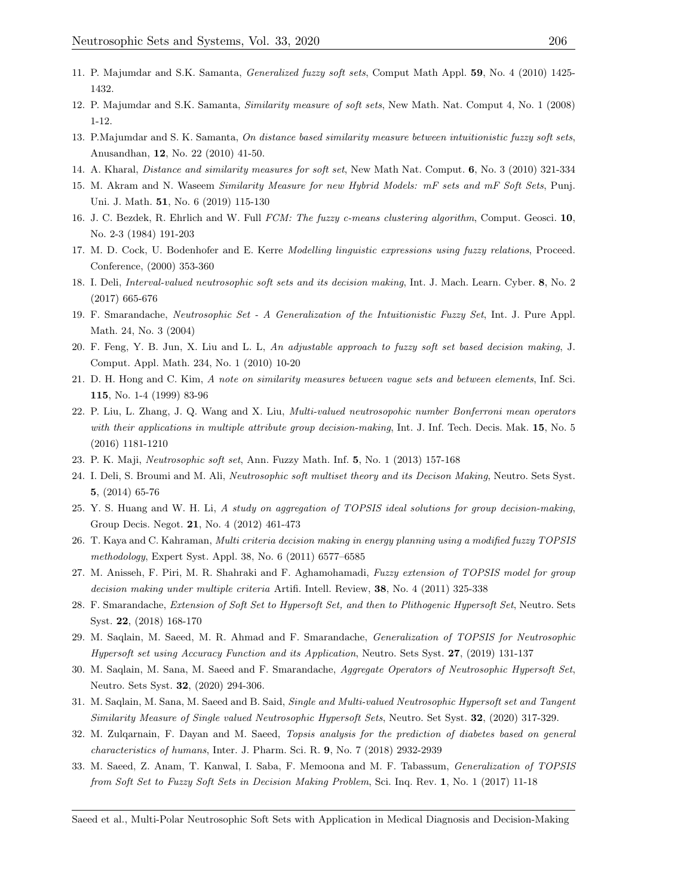- 11. P. Majumdar and S.K. Samanta, Generalized fuzzy soft sets, Comput Math Appl. 59, No. 4 (2010) 1425- 1432.
- 12. P. Majumdar and S.K. Samanta, Similarity measure of soft sets, New Math. Nat. Comput 4, No. 1 (2008) 1-12.
- 13. P.Majumdar and S. K. Samanta, On distance based similarity measure between intuitionistic fuzzy soft sets, Anusandhan, 12, No. 22 (2010) 41-50.
- 14. A. Kharal, Distance and similarity measures for soft set, New Math Nat. Comput. 6, No. 3 (2010) 321-334
- 15. M. Akram and N. Waseem Similarity Measure for new Hybrid Models: mF sets and mF Soft Sets, Punj. Uni. J. Math. 51, No. 6 (2019) 115-130
- 16. J. C. Bezdek, R. Ehrlich and W. Full FCM: The fuzzy c-means clustering algorithm, Comput. Geosci. 10, No. 2-3 (1984) 191-203
- 17. M. D. Cock, U. Bodenhofer and E. Kerre Modelling linguistic expressions using fuzzy relations, Proceed. Conference, (2000) 353-360
- 18. I. Deli, Interval-valued neutrosophic soft sets and its decision making, Int. J. Mach. Learn. Cyber. 8, No. 2 (2017) 665-676
- 19. F. Smarandache, Neutrosophic Set A Generalization of the Intuitionistic Fuzzy Set, Int. J. Pure Appl. Math. 24, No. 3 (2004)
- 20. F. Feng, Y. B. Jun, X. Liu and L. L, An adjustable approach to fuzzy soft set based decision making, J. Comput. Appl. Math. 234, No. 1 (2010) 10-20
- 21. D. H. Hong and C. Kim, A note on similarity measures between vague sets and between elements, Inf. Sci. 115, No. 1-4 (1999) 83-96
- 22. P. Liu, L. Zhang, J. Q. Wang and X. Liu, Multi-valued neutrosopohic number Bonferroni mean operators with their applications in multiple attribute group decision-making, Int. J. Inf. Tech. Decis. Mak. 15, No. 5 (2016) 1181-1210
- 23. P. K. Maji, Neutrosophic soft set, Ann. Fuzzy Math. Inf. 5, No. 1 (2013) 157-168
- 24. I. Deli, S. Broumi and M. Ali, Neutrosophic soft multiset theory and its Decison Making, Neutro. Sets Syst. 5, (2014) 65-76
- 25. Y. S. Huang and W. H. Li, A study on aggregation of TOPSIS ideal solutions for group decision-making, Group Decis. Negot. 21, No. 4 (2012) 461-473
- 26. T. Kaya and C. Kahraman, Multi criteria decision making in energy planning using a modified fuzzy TOPSIS methodology, Expert Syst. Appl. 38, No. 6 (2011) 6577–6585
- 27. M. Anisseh, F. Piri, M. R. Shahraki and F. Aghamohamadi, Fuzzy extension of TOPSIS model for group decision making under multiple criteria Artifi. Intell. Review, 38, No. 4 (2011) 325-338
- 28. F. Smarandache, Extension of Soft Set to Hypersoft Set, and then to Plithogenic Hypersoft Set, Neutro. Sets Syst. 22, (2018) 168-170
- 29. M. Saqlain, M. Saeed, M. R. Ahmad and F. Smarandache, Generalization of TOPSIS for Neutrosophic Hypersoft set using Accuracy Function and its Application, Neutro. Sets Syst. 27, (2019) 131-137
- 30. M. Saqlain, M. Sana, M. Saeed and F. Smarandache, Aggregate Operators of Neutrosophic Hypersoft Set, Neutro. Sets Syst. 32, (2020) 294-306.
- 31. M. Saqlain, M. Sana, M. Saeed and B. Said, Single and Multi-valued Neutrosophic Hypersoft set and Tangent Similarity Measure of Single valued Neutrosophic Hypersoft Sets, Neutro. Set Syst. 32, (2020) 317-329.
- 32. M. Zulqarnain, F. Dayan and M. Saeed, Topsis analysis for the prediction of diabetes based on general characteristics of humans, Inter. J. Pharm. Sci. R. 9, No. 7 (2018) 2932-2939
- 33. M. Saeed, Z. Anam, T. Kanwal, I. Saba, F. Memoona and M. F. Tabassum, Generalization of TOPSIS from Soft Set to Fuzzy Soft Sets in Decision Making Problem, Sci. Inq. Rev. 1, No. 1 (2017) 11-18